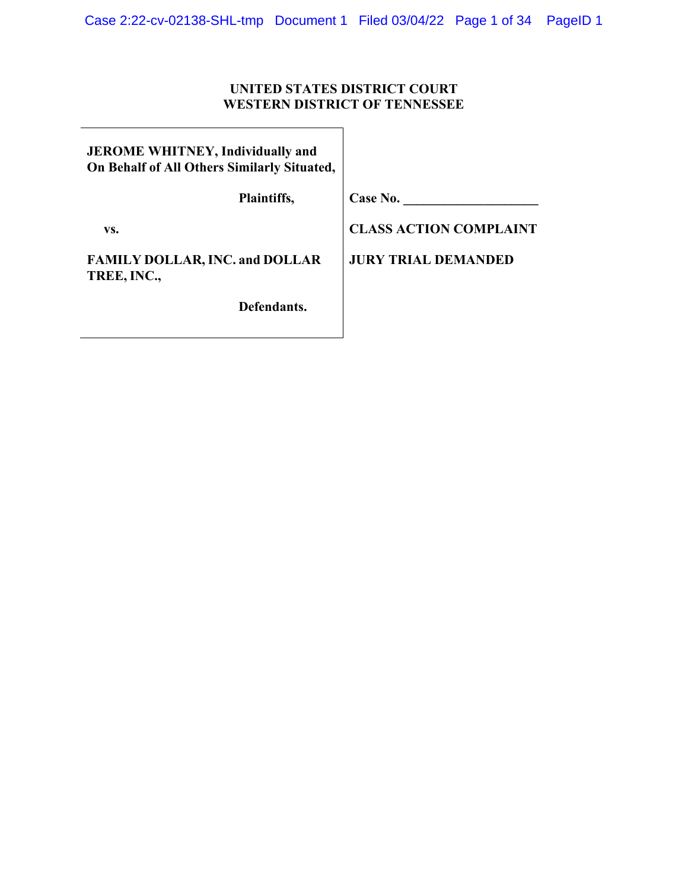## **UNITED STATES DISTRICT COURT WESTERN DISTRICT OF TENNESSEE**

| <b>JEROME WHITNEY, Individually and</b>     |  |
|---------------------------------------------|--|
| On Behalf of All Others Similarly Situated, |  |

 **Plaintiffs,** 

**Case No. \_\_\_\_\_\_\_\_\_\_\_\_\_\_\_\_\_\_\_\_** 

 **vs.** 

**FAMILY DOLLAR, INC. and DOLLAR TREE, INC.,** 

 **Defendants.** 

**CLASS ACTION COMPLAINT**

**JURY TRIAL DEMANDED**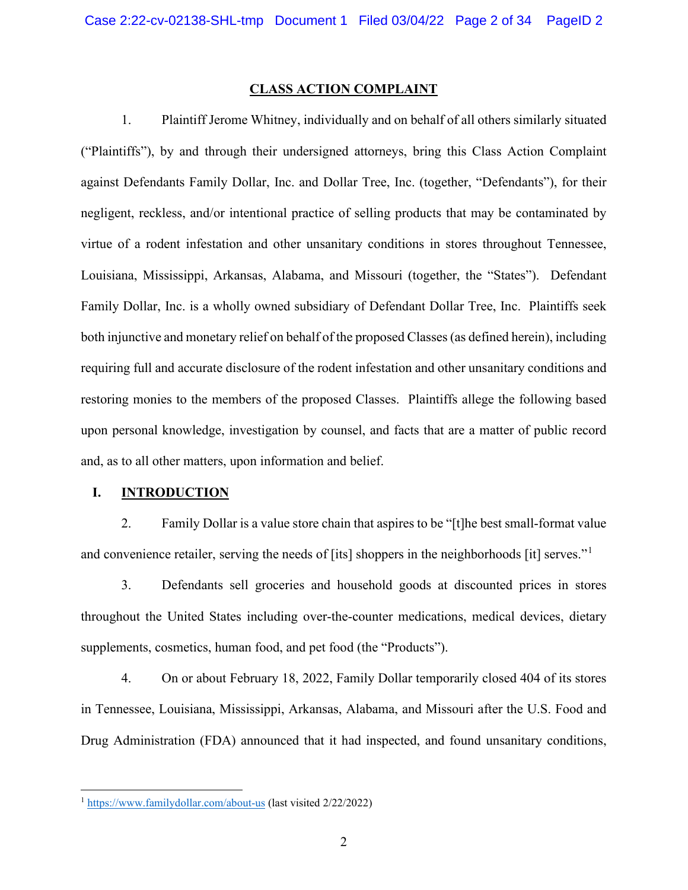#### **CLASS ACTION COMPLAINT**

1. Plaintiff Jerome Whitney, individually and on behalf of all others similarly situated ("Plaintiffs"), by and through their undersigned attorneys, bring this Class Action Complaint against Defendants Family Dollar, Inc. and Dollar Tree, Inc. (together, "Defendants"), for their negligent, reckless, and/or intentional practice of selling products that may be contaminated by virtue of a rodent infestation and other unsanitary conditions in stores throughout Tennessee, Louisiana, Mississippi, Arkansas, Alabama, and Missouri (together, the "States"). Defendant Family Dollar, Inc. is a wholly owned subsidiary of Defendant Dollar Tree, Inc. Plaintiffs seek both injunctive and monetary relief on behalf of the proposed Classes (as defined herein), including requiring full and accurate disclosure of the rodent infestation and other unsanitary conditions and restoring monies to the members of the proposed Classes. Plaintiffs allege the following based upon personal knowledge, investigation by counsel, and facts that are a matter of public record and, as to all other matters, upon information and belief.

#### **I. INTRODUCTION**

2. Family Dollar is a value store chain that aspires to be "[t]he best small-format value and convenience retailer, serving the needs of [its] shoppers in the neighborhoods [it] serves."<sup>[1](#page-1-0)</sup>

3. Defendants sell groceries and household goods at discounted prices in stores throughout the United States including over-the-counter medications, medical devices, dietary supplements, cosmetics, human food, and pet food (the "Products").

4. On or about February 18, 2022, Family Dollar temporarily closed 404 of its stores in Tennessee, Louisiana, Mississippi, Arkansas, Alabama, and Missouri after the U.S. Food and Drug Administration (FDA) announced that it had inspected, and found unsanitary conditions,

<span id="page-1-0"></span><sup>1</sup> <https://www.familydollar.com/about-us> (last visited 2/22/2022)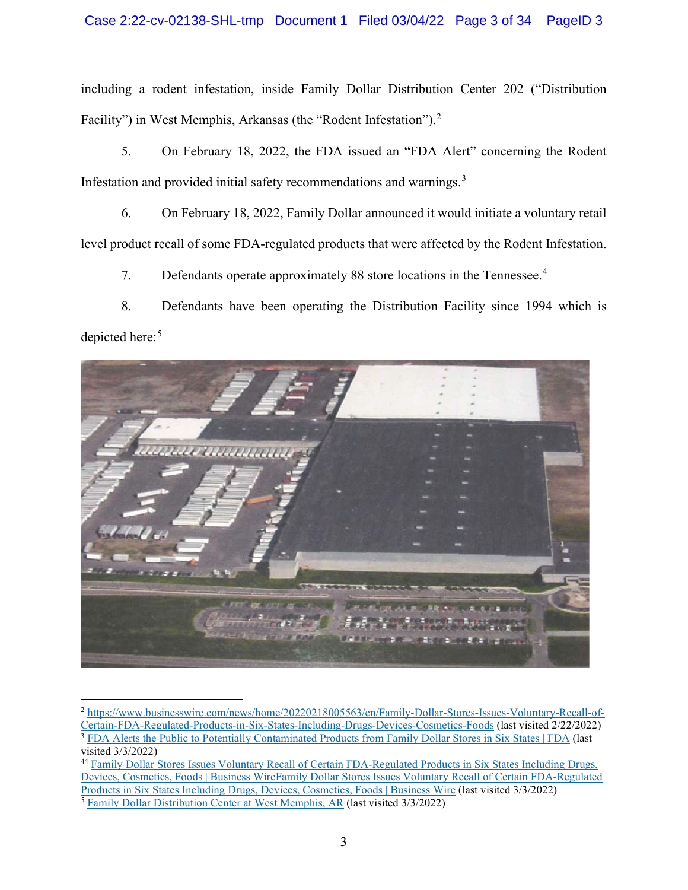## Case 2:22-cv-02138-SHL-tmp Document 1 Filed 03/04/22 Page 3 of 34 PageID 3

including a rodent infestation, inside Family Dollar Distribution Center 202 ("Distribution Facility") in West Memphis, Arkansas (the "Rodent Infestation").<sup>[2](#page-2-0)</sup>

5. On February 18, 2022, the FDA issued an "FDA Alert" concerning the Rodent Infestation and provided initial safety recommendations and warnings.<sup>[3](#page-2-1)</sup>

6. On February 18, 2022, Family Dollar announced it would initiate a voluntary retail level product recall of some FDA-regulated products that were affected by the Rodent Infestation.

7. Defendants operate approximately 88 store locations in the Tennessee.<sup>[4](#page-2-2)</sup>

8. Defendants have been operating the Distribution Facility since 1994 which is depicted here:<sup>[5](#page-2-3)</sup>



<sup>2</sup> [https://www.businesswire.com/news/home/20220218005563/en/Family-Dollar-Stores-Issues-Voluntary-Recall-of-](https://www.businesswire.com/news/home/20220218005563/en/Family-Dollar-Stores-Issues-Voluntary-Recall-of-Certain-FDA-Regulated-Products-in-Six-States-Including-Drugs-Devices-Cosmetics-Foods)[Certain-FDA-Regulated-Products-in-Six-States-Including-Drugs-Devices-Cosmetics-Foods](https://www.businesswire.com/news/home/20220218005563/en/Family-Dollar-Stores-Issues-Voluntary-Recall-of-Certain-FDA-Regulated-Products-in-Six-States-Including-Drugs-Devices-Cosmetics-Foods) (last visited 2/22/2022) <sup>3</sup> [FDA Alerts the Public to Potentially Contaminated Products from Family Dollar Stores in Six States | FDA](https://www.fda.gov/news-events/press-announcements/fda-alerts-public-potentially-contaminated-products-family-dollar-stores-six-states) (last visited 3/3/2022)

<span id="page-2-3"></span><span id="page-2-2"></span><span id="page-2-1"></span><span id="page-2-0"></span><sup>44</sup> [Family Dollar Stores Issues Voluntary Recall of Certain FDA-Regulated Products in Six States Including Drugs,](https://www.businesswire.com/news/home/20220218005563/en/Family-Dollar-Stores-Issues-Voluntary-Recall-of-Certain-FDA-Regulated-Products-in-Six-States-Including-Drugs-Devices-Cosmetics-Foods)  [Devices, Cosmetics, Foods | Business WireFamily Dollar Stores Issues Voluntary Recall of Certain FDA-Regulated](https://www.businesswire.com/news/home/20220218005563/en/Family-Dollar-Stores-Issues-Voluntary-Recall-of-Certain-FDA-Regulated-Products-in-Six-States-Including-Drugs-Devices-Cosmetics-Foods)  [Products in Six States Including Drugs, Devices, Cosmetics, Foods | Business Wire](https://www.businesswire.com/news/home/20220218005563/en/Family-Dollar-Stores-Issues-Voluntary-Recall-of-Certain-FDA-Regulated-Products-in-Six-States-Including-Drugs-Devices-Cosmetics-Foods) (last visited 3/3/2022) <sup>5</sup> [Family Dollar Distribution Center at West Memphis, AR](https://www.familydollar.com/locations/ar/west-memphis/dc202/) (last visited 3/3/2022)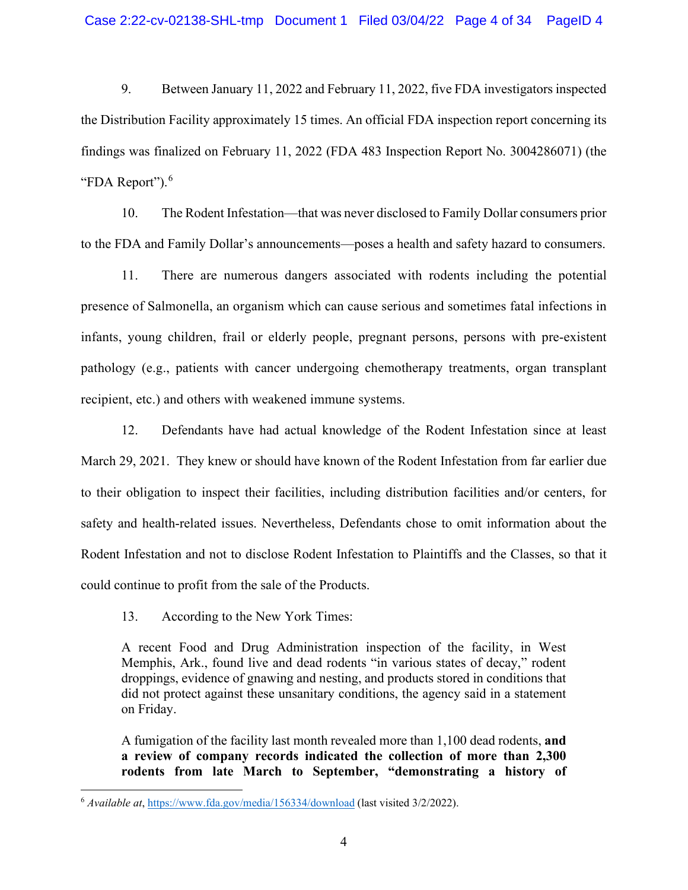9. Between January 11, 2022 and February 11, 2022, five FDA investigators inspected the Distribution Facility approximately 15 times. An official FDA inspection report concerning its findings was finalized on February 11, 2022 (FDA 483 Inspection Report No. 3004286071) (the "FDA Report").<sup>[6](#page-3-0)</sup>

10. The Rodent Infestation—that was never disclosed to Family Dollar consumers prior to the FDA and Family Dollar's announcements—poses a health and safety hazard to consumers.

11. There are numerous dangers associated with rodents including the potential presence of Salmonella, an organism which can cause serious and sometimes fatal infections in infants, young children, frail or elderly people, pregnant persons, persons with pre-existent pathology (e.g., patients with cancer undergoing chemotherapy treatments, organ transplant recipient, etc.) and others with weakened immune systems.

12. Defendants have had actual knowledge of the Rodent Infestation since at least March 29, 2021. They knew or should have known of the Rodent Infestation from far earlier due to their obligation to inspect their facilities, including distribution facilities and/or centers, for safety and health-related issues. Nevertheless, Defendants chose to omit information about the Rodent Infestation and not to disclose Rodent Infestation to Plaintiffs and the Classes, so that it could continue to profit from the sale of the Products.

13. According to the New York Times:

A recent Food and Drug Administration inspection of the facility, in West Memphis, Ark., found live and dead rodents "in various states of decay," rodent droppings, evidence of gnawing and nesting, and products stored in conditions that did not protect against these unsanitary conditions, the agency said in a statement on Friday.

A fumigation of the facility last month revealed more than 1,100 dead rodents, **and a review of company records indicated the collection of more than 2,300 rodents from late March to September, "demonstrating a history of** 

<span id="page-3-0"></span><sup>6</sup> *Available at*,<https://www.fda.gov/media/156334/download> (last visited 3/2/2022).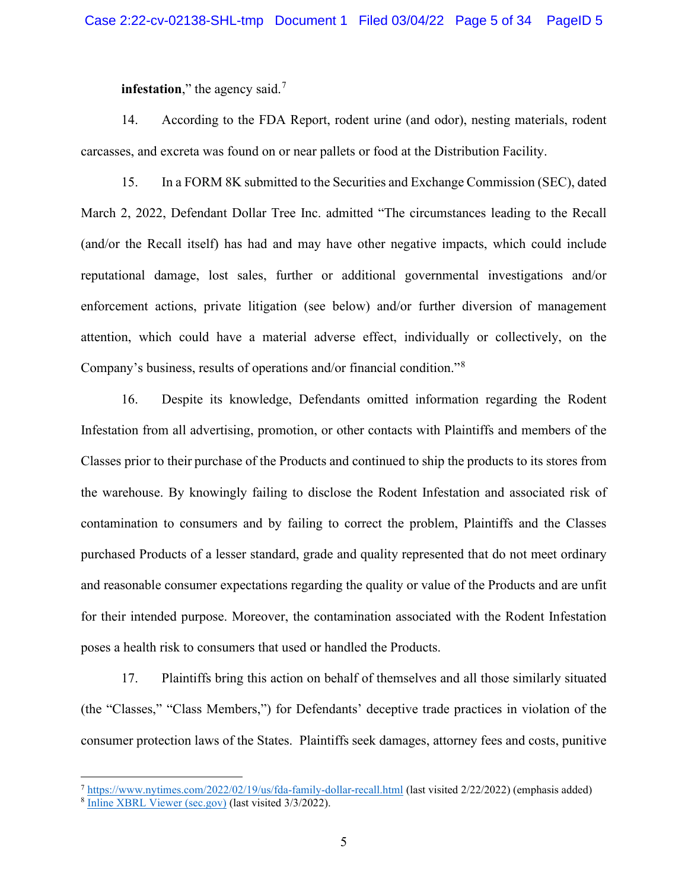**infestation**," the agency said.<sup>[7](#page-4-0)</sup>

14. According to the FDA Report, rodent urine (and odor), nesting materials, rodent carcasses, and excreta was found on or near pallets or food at the Distribution Facility.

15. In a FORM 8K submitted to the Securities and Exchange Commission (SEC), dated March 2, 2022, Defendant Dollar Tree Inc. admitted "The circumstances leading to the Recall (and/or the Recall itself) has had and may have other negative impacts, which could include reputational damage, lost sales, further or additional governmental investigations and/or enforcement actions, private litigation (see below) and/or further diversion of management attention, which could have a material adverse effect, individually or collectively, on the Company's business, results of operations and/or financial condition."[8](#page-4-1)

16. Despite its knowledge, Defendants omitted information regarding the Rodent Infestation from all advertising, promotion, or other contacts with Plaintiffs and members of the Classes prior to their purchase of the Products and continued to ship the products to its stores from the warehouse. By knowingly failing to disclose the Rodent Infestation and associated risk of contamination to consumers and by failing to correct the problem, Plaintiffs and the Classes purchased Products of a lesser standard, grade and quality represented that do not meet ordinary and reasonable consumer expectations regarding the quality or value of the Products and are unfit for their intended purpose. Moreover, the contamination associated with the Rodent Infestation poses a health risk to consumers that used or handled the Products.

17. Plaintiffs bring this action on behalf of themselves and all those similarly situated (the "Classes," "Class Members,") for Defendants' deceptive trade practices in violation of the consumer protection laws of the States. Plaintiffs seek damages, attorney fees and costs, punitive

<span id="page-4-0"></span><sup>7</sup> <https://www.nytimes.com/2022/02/19/us/fda-family-dollar-recall.html> (last visited 2/22/2022) (emphasis added)

<span id="page-4-1"></span><sup>&</sup>lt;sup>8</sup> [Inline XBRL Viewer \(sec.gov\)](https://www.sec.gov/ix?doc=/Archives/edgar/data/0000935703/000093570322000007/dltr-20220302.htm) (last visited 3/3/2022).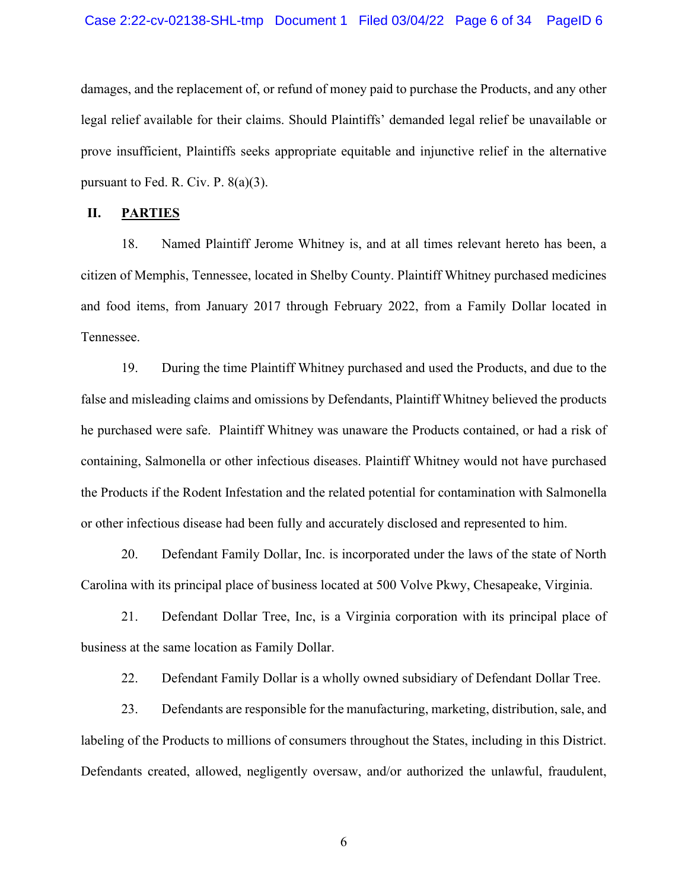damages, and the replacement of, or refund of money paid to purchase the Products, and any other legal relief available for their claims. Should Plaintiffs' demanded legal relief be unavailable or prove insufficient, Plaintiffs seeks appropriate equitable and injunctive relief in the alternative pursuant to Fed. R. Civ. P. 8(a)(3).

#### **II. PARTIES**

18. Named Plaintiff Jerome Whitney is, and at all times relevant hereto has been, a citizen of Memphis, Tennessee, located in Shelby County. Plaintiff Whitney purchased medicines and food items, from January 2017 through February 2022, from a Family Dollar located in Tennessee.

19. During the time Plaintiff Whitney purchased and used the Products, and due to the false and misleading claims and omissions by Defendants, Plaintiff Whitney believed the products he purchased were safe. Plaintiff Whitney was unaware the Products contained, or had a risk of containing, Salmonella or other infectious diseases. Plaintiff Whitney would not have purchased the Products if the Rodent Infestation and the related potential for contamination with Salmonella or other infectious disease had been fully and accurately disclosed and represented to him.

20. Defendant Family Dollar, Inc. is incorporated under the laws of the state of North Carolina with its principal place of business located at 500 Volve Pkwy, Chesapeake, Virginia.

21. Defendant Dollar Tree, Inc, is a Virginia corporation with its principal place of business at the same location as Family Dollar.

22. Defendant Family Dollar is a wholly owned subsidiary of Defendant Dollar Tree.

23. Defendants are responsible for the manufacturing, marketing, distribution, sale, and labeling of the Products to millions of consumers throughout the States, including in this District. Defendants created, allowed, negligently oversaw, and/or authorized the unlawful, fraudulent,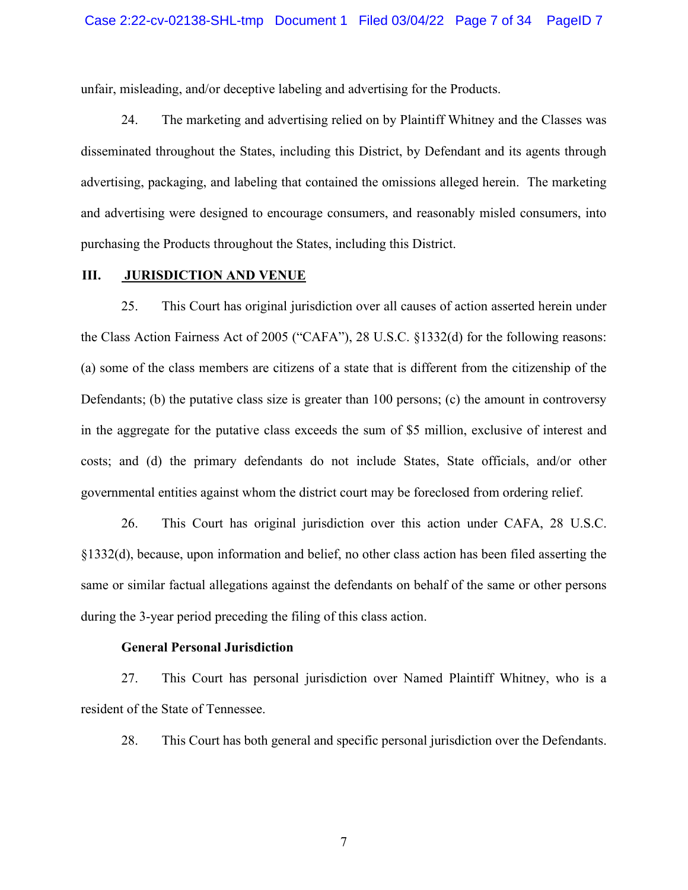unfair, misleading, and/or deceptive labeling and advertising for the Products.

24. The marketing and advertising relied on by Plaintiff Whitney and the Classes was disseminated throughout the States, including this District, by Defendant and its agents through advertising, packaging, and labeling that contained the omissions alleged herein. The marketing and advertising were designed to encourage consumers, and reasonably misled consumers, into purchasing the Products throughout the States, including this District.

## **III. JURISDICTION AND VENUE**

25. This Court has original jurisdiction over all causes of action asserted herein under the Class Action Fairness Act of 2005 ("CAFA"), 28 U.S.C. §1332(d) for the following reasons: (a) some of the class members are citizens of a state that is different from the citizenship of the Defendants; (b) the putative class size is greater than 100 persons; (c) the amount in controversy in the aggregate for the putative class exceeds the sum of \$5 million, exclusive of interest and costs; and (d) the primary defendants do not include States, State officials, and/or other governmental entities against whom the district court may be foreclosed from ordering relief.

26. This Court has original jurisdiction over this action under CAFA, 28 U.S.C. §1332(d), because, upon information and belief, no other class action has been filed asserting the same or similar factual allegations against the defendants on behalf of the same or other persons during the 3-year period preceding the filing of this class action.

#### **General Personal Jurisdiction**

27. This Court has personal jurisdiction over Named Plaintiff Whitney, who is a resident of the State of Tennessee.

28. This Court has both general and specific personal jurisdiction over the Defendants.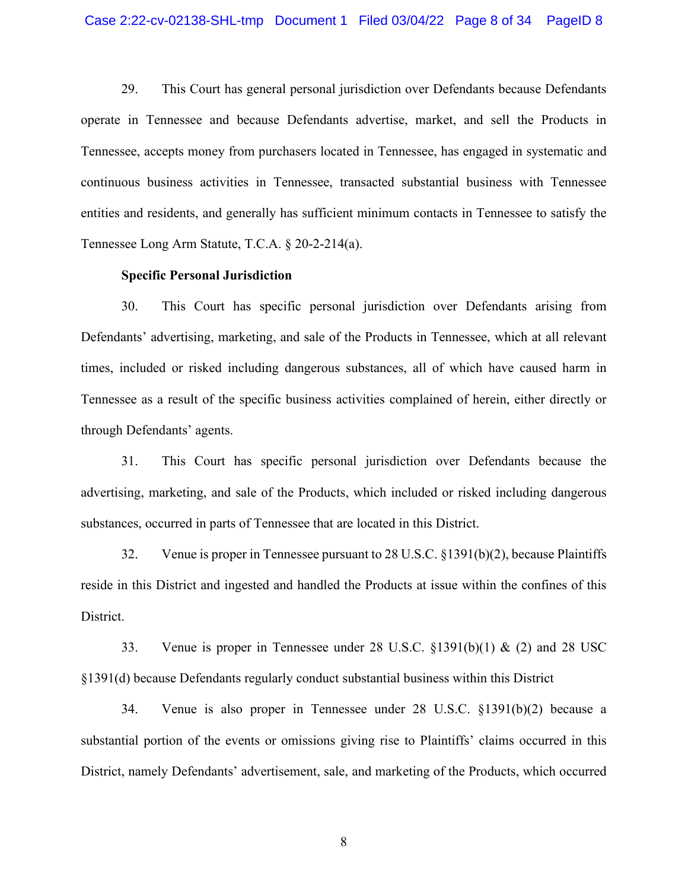29. This Court has general personal jurisdiction over Defendants because Defendants operate in Tennessee and because Defendants advertise, market, and sell the Products in Tennessee, accepts money from purchasers located in Tennessee, has engaged in systematic and continuous business activities in Tennessee, transacted substantial business with Tennessee entities and residents, and generally has sufficient minimum contacts in Tennessee to satisfy the Tennessee Long Arm Statute, T.C.A. § 20-2-214(a).

#### **Specific Personal Jurisdiction**

30. This Court has specific personal jurisdiction over Defendants arising from Defendants' advertising, marketing, and sale of the Products in Tennessee, which at all relevant times, included or risked including dangerous substances, all of which have caused harm in Tennessee as a result of the specific business activities complained of herein, either directly or through Defendants' agents.

31. This Court has specific personal jurisdiction over Defendants because the advertising, marketing, and sale of the Products, which included or risked including dangerous substances, occurred in parts of Tennessee that are located in this District.

32. Venue is proper in Tennessee pursuant to 28 U.S.C. §1391(b)(2), because Plaintiffs reside in this District and ingested and handled the Products at issue within the confines of this District.

33. Venue is proper in Tennessee under 28 U.S.C.  $\S$ 1391(b)(1) & (2) and 28 USC §1391(d) because Defendants regularly conduct substantial business within this District

34. Venue is also proper in Tennessee under 28 U.S.C. §1391(b)(2) because a substantial portion of the events or omissions giving rise to Plaintiffs' claims occurred in this District, namely Defendants' advertisement, sale, and marketing of the Products, which occurred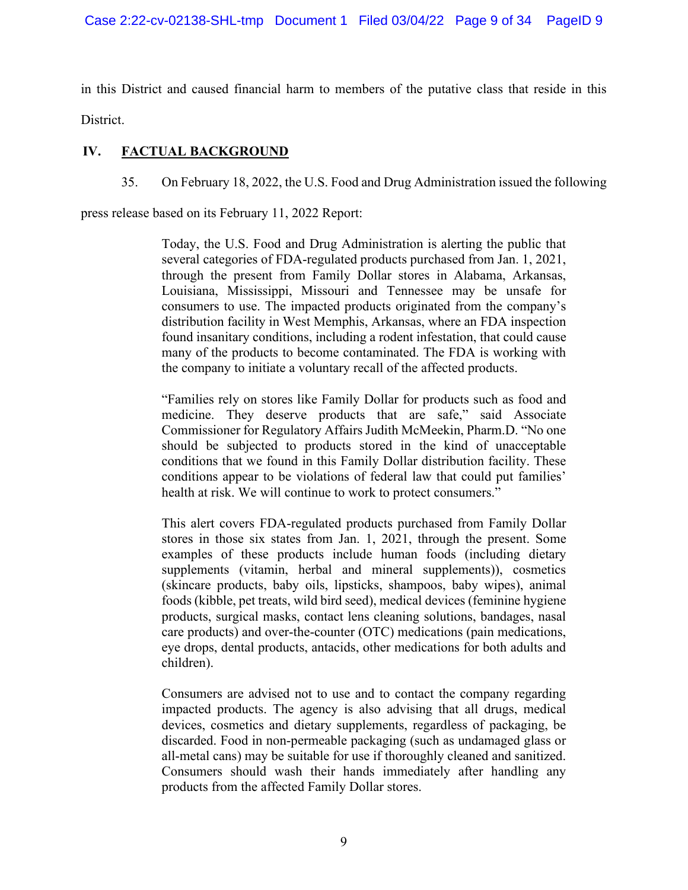in this District and caused financial harm to members of the putative class that reside in this District.

# **IV. FACTUAL BACKGROUND**

35. On February 18, 2022, the U.S. Food and Drug Administration issued the following

press release based on its February 11, 2022 Report:

Today, the U.S. Food and Drug Administration is alerting the public that several categories of FDA-regulated products purchased from Jan. 1, 2021, through the present from Family Dollar stores in Alabama, Arkansas, Louisiana, Mississippi, Missouri and Tennessee may be unsafe for consumers to use. The impacted products originated from the company's distribution facility in West Memphis, Arkansas, where an FDA inspection found insanitary conditions, including a rodent infestation, that could cause many of the products to become contaminated. The FDA is working with the company to initiate a voluntary recall of the affected products.

"Families rely on stores like Family Dollar for products such as food and medicine. They deserve products that are safe," said Associate Commissioner for Regulatory Affairs Judith McMeekin, Pharm.D. "No one should be subjected to products stored in the kind of unacceptable conditions that we found in this Family Dollar distribution facility. These conditions appear to be violations of federal law that could put families' health at risk. We will continue to work to protect consumers."

This alert covers FDA-regulated products purchased from Family Dollar stores in those six states from Jan. 1, 2021, through the present. Some examples of these products include human foods (including dietary supplements (vitamin, herbal and mineral supplements)), cosmetics (skincare products, baby oils, lipsticks, shampoos, baby wipes), animal foods (kibble, pet treats, wild bird seed), medical devices (feminine hygiene products, surgical masks, contact lens cleaning solutions, bandages, nasal care products) and over-the-counter (OTC) medications (pain medications, eye drops, dental products, antacids, other medications for both adults and children).

Consumers are advised not to use and to contact the company regarding impacted products. The agency is also advising that all drugs, medical devices, cosmetics and dietary supplements, regardless of packaging, be discarded. Food in non-permeable packaging (such as undamaged glass or all-metal cans) may be suitable for use if thoroughly cleaned and sanitized. Consumers should wash their hands immediately after handling any products from the affected Family Dollar stores.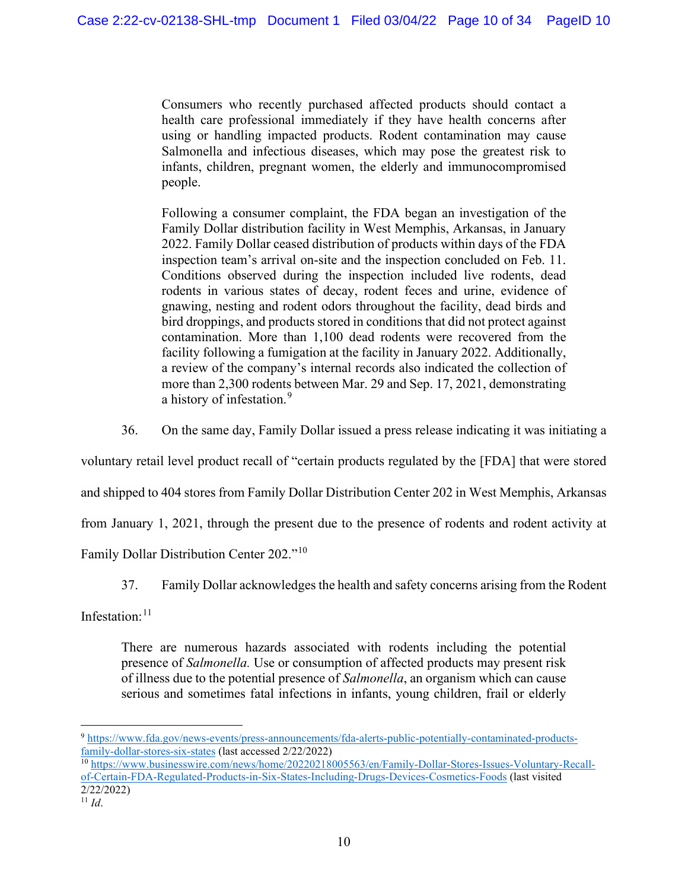Consumers who recently purchased affected products should contact a health care professional immediately if they have health concerns after using or handling impacted products. Rodent contamination may cause Salmonella and infectious diseases, which may pose the greatest risk to infants, children, pregnant women, the elderly and immunocompromised people.

Following a consumer complaint, the FDA began an investigation of the Family Dollar distribution facility in West Memphis, Arkansas, in January 2022. Family Dollar ceased distribution of products within days of the FDA inspection team's arrival on-site and the inspection concluded on Feb. 11. Conditions observed during the inspection included live rodents, dead rodents in various states of decay, rodent feces and urine, evidence of gnawing, nesting and rodent odors throughout the facility, dead birds and bird droppings, and products stored in conditions that did not protect against contamination. More than 1,100 dead rodents were recovered from the facility following a fumigation at the facility in January 2022. Additionally, a review of the company's internal records also indicated the collection of more than 2,300 rodents between Mar. 29 and Sep. 17, 2021, demonstrating a history of infestation.<sup>[9](#page-9-0)</sup>

36. On the same day, Family Dollar issued a press release indicating it was initiating a

voluntary retail level product recall of "certain products regulated by the [FDA] that were stored

and shipped to 404 stores from Family Dollar Distribution Center 202 in West Memphis, Arkansas

from January 1, 2021, through the present due to the presence of rodents and rodent activity at

Family Dollar Distribution Center 202."[10](#page-9-1)

37. Family Dollar acknowledges the health and safety concerns arising from the Rodent

Infestation:<sup>[11](#page-9-2)</sup>

There are numerous hazards associated with rodents including the potential presence of *Salmonella.* Use or consumption of affected products may present risk of illness due to the potential presence of *Salmonella*, an organism which can cause serious and sometimes fatal infections in infants, young children, frail or elderly

<span id="page-9-0"></span><sup>9</sup> [https://www.fda.gov/news-events/press-announcements/fda-alerts-public-potentially-contaminated-products](https://www.fda.gov/news-events/press-announcements/fda-alerts-public-potentially-contaminated-products-family-dollar-stores-six-states)[family-dollar-stores-six-states](https://www.fda.gov/news-events/press-announcements/fda-alerts-public-potentially-contaminated-products-family-dollar-stores-six-states) (last accessed 2/22/2022)

<span id="page-9-1"></span><sup>10</sup> [https://www.businesswire.com/news/home/20220218005563/en/Family-Dollar-Stores-Issues-Voluntary-Recall](https://www.businesswire.com/news/home/20220218005563/en/Family-Dollar-Stores-Issues-Voluntary-Recall-of-Certain-FDA-Regulated-Products-in-Six-States-Including-Drugs-Devices-Cosmetics-Foods)[of-Certain-FDA-Regulated-Products-in-Six-States-Including-Drugs-Devices-Cosmetics-Foods](https://www.businesswire.com/news/home/20220218005563/en/Family-Dollar-Stores-Issues-Voluntary-Recall-of-Certain-FDA-Regulated-Products-in-Six-States-Including-Drugs-Devices-Cosmetics-Foods) (last visited 2/22/2022)

<span id="page-9-2"></span><sup>11</sup> *Id*.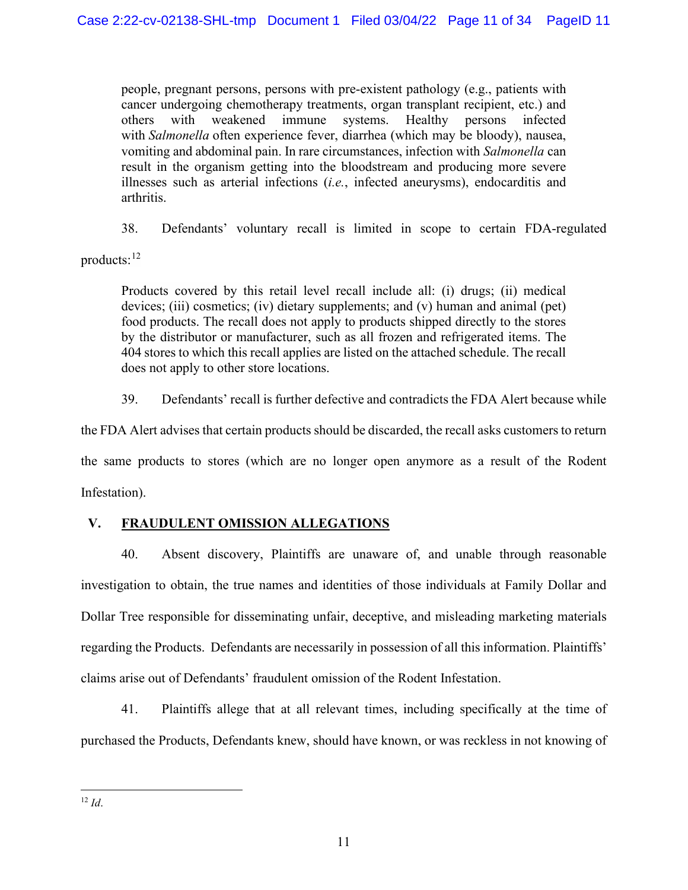people, pregnant persons, persons with pre-existent pathology (e.g., patients with cancer undergoing chemotherapy treatments, organ transplant recipient, etc.) and others with weakened immune systems. Healthy persons infected with *Salmonella* often experience fever, diarrhea (which may be bloody), nausea, vomiting and abdominal pain. In rare circumstances, infection with *Salmonella* can result in the organism getting into the bloodstream and producing more severe illnesses such as arterial infections (*i.e.*, infected aneurysms), endocarditis and arthritis.

38. Defendants' voluntary recall is limited in scope to certain FDA-regulated

products:[12](#page-10-0)

Products covered by this retail level recall include all: (i) drugs; (ii) medical devices; (iii) cosmetics; (iv) dietary supplements; and (v) human and animal (pet) food products. The recall does not apply to products shipped directly to the stores by the distributor or manufacturer, such as all frozen and refrigerated items. The 404 stores to which this recall applies are listed on the attached schedule. The recall does not apply to other store locations.

39. Defendants' recall is further defective and contradicts the FDA Alert because while

the FDA Alert advises that certain products should be discarded, the recall asks customers to return the same products to stores (which are no longer open anymore as a result of the Rodent Infestation).

# **V. FRAUDULENT OMISSION ALLEGATIONS**

40. Absent discovery, Plaintiffs are unaware of, and unable through reasonable investigation to obtain, the true names and identities of those individuals at Family Dollar and Dollar Tree responsible for disseminating unfair, deceptive, and misleading marketing materials regarding the Products. Defendants are necessarily in possession of all this information. Plaintiffs' claims arise out of Defendants' fraudulent omission of the Rodent Infestation.

41. Plaintiffs allege that at all relevant times, including specifically at the time of purchased the Products, Defendants knew, should have known, or was reckless in not knowing of

<span id="page-10-0"></span> $12 \, Id.$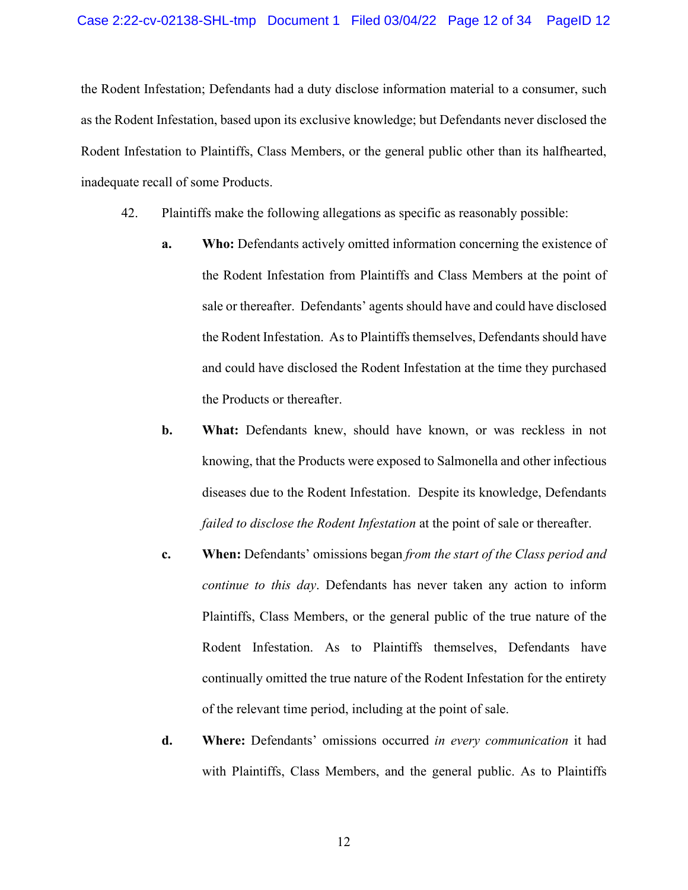the Rodent Infestation; Defendants had a duty disclose information material to a consumer, such as the Rodent Infestation, based upon its exclusive knowledge; but Defendants never disclosed the Rodent Infestation to Plaintiffs, Class Members, or the general public other than its halfhearted, inadequate recall of some Products.

- 42. Plaintiffs make the following allegations as specific as reasonably possible:
	- **a. Who:** Defendants actively omitted information concerning the existence of the Rodent Infestation from Plaintiffs and Class Members at the point of sale or thereafter. Defendants' agents should have and could have disclosed the Rodent Infestation. As to Plaintiffs themselves, Defendants should have and could have disclosed the Rodent Infestation at the time they purchased the Products or thereafter.
	- **b. What:** Defendants knew, should have known, or was reckless in not knowing, that the Products were exposed to Salmonella and other infectious diseases due to the Rodent Infestation. Despite its knowledge, Defendants *failed to disclose the Rodent Infestation* at the point of sale or thereafter.
	- **c. When:** Defendants' omissions began *from the start of the Class period and continue to this day*. Defendants has never taken any action to inform Plaintiffs, Class Members, or the general public of the true nature of the Rodent Infestation. As to Plaintiffs themselves, Defendants have continually omitted the true nature of the Rodent Infestation for the entirety of the relevant time period, including at the point of sale.
	- **d. Where:** Defendants' omissions occurred *in every communication* it had with Plaintiffs, Class Members, and the general public. As to Plaintiffs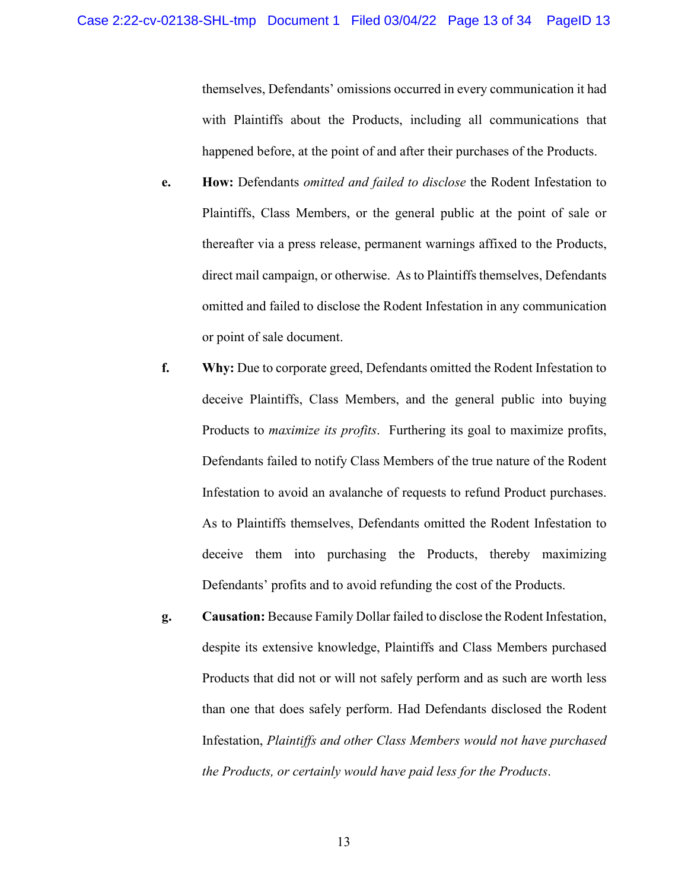themselves, Defendants' omissions occurred in every communication it had with Plaintiffs about the Products, including all communications that happened before, at the point of and after their purchases of the Products.

- **e. How:** Defendants *omitted and failed to disclose* the Rodent Infestation to Plaintiffs, Class Members, or the general public at the point of sale or thereafter via a press release, permanent warnings affixed to the Products, direct mail campaign, or otherwise. As to Plaintiffs themselves, Defendants omitted and failed to disclose the Rodent Infestation in any communication or point of sale document.
- **f. Why:** Due to corporate greed, Defendants omitted the Rodent Infestation to deceive Plaintiffs, Class Members, and the general public into buying Products to *maximize its profits*. Furthering its goal to maximize profits, Defendants failed to notify Class Members of the true nature of the Rodent Infestation to avoid an avalanche of requests to refund Product purchases. As to Plaintiffs themselves, Defendants omitted the Rodent Infestation to deceive them into purchasing the Products, thereby maximizing Defendants' profits and to avoid refunding the cost of the Products.
- **g. Causation:** Because Family Dollar failed to disclose the Rodent Infestation, despite its extensive knowledge, Plaintiffs and Class Members purchased Products that did not or will not safely perform and as such are worth less than one that does safely perform. Had Defendants disclosed the Rodent Infestation, *Plaintiffs and other Class Members would not have purchased the Products, or certainly would have paid less for the Products*.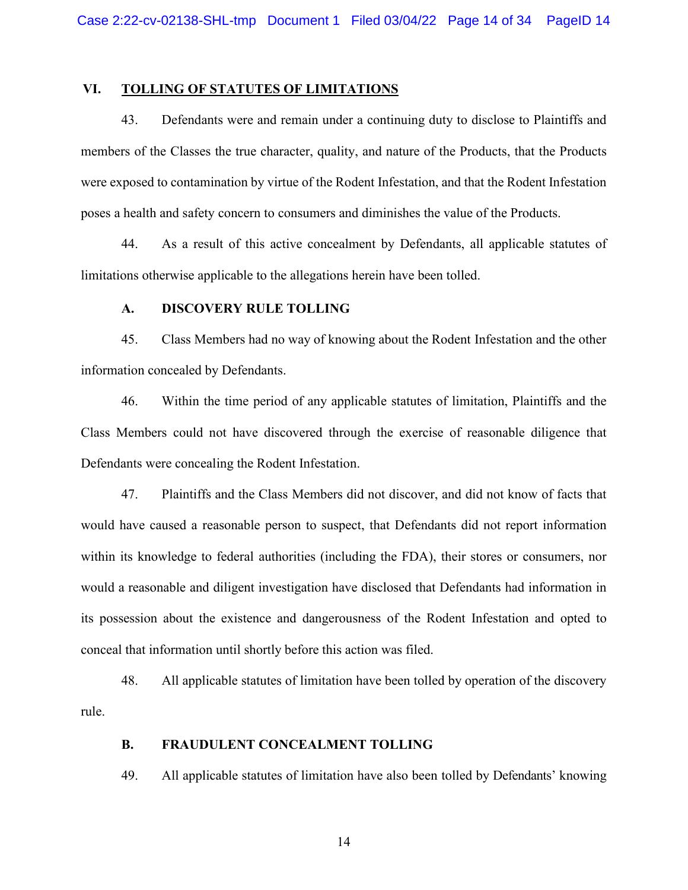#### **VI. TOLLING OF STATUTES OF LIMITATIONS**

43. Defendants were and remain under a continuing duty to disclose to Plaintiffs and members of the Classes the true character, quality, and nature of the Products, that the Products were exposed to contamination by virtue of the Rodent Infestation, and that the Rodent Infestation poses a health and safety concern to consumers and diminishes the value of the Products.

44. As a result of this active concealment by Defendants, all applicable statutes of limitations otherwise applicable to the allegations herein have been tolled.

# **A. DISCOVERY RULE TOLLING**

45. Class Members had no way of knowing about the Rodent Infestation and the other information concealed by Defendants.

46. Within the time period of any applicable statutes of limitation, Plaintiffs and the Class Members could not have discovered through the exercise of reasonable diligence that Defendants were concealing the Rodent Infestation.

47. Plaintiffs and the Class Members did not discover, and did not know of facts that would have caused a reasonable person to suspect, that Defendants did not report information within its knowledge to federal authorities (including the FDA), their stores or consumers, nor would a reasonable and diligent investigation have disclosed that Defendants had information in its possession about the existence and dangerousness of the Rodent Infestation and opted to conceal that information until shortly before this action was filed.

48. All applicable statutes of limitation have been tolled by operation of the discovery rule.

#### **B. FRAUDULENT CONCEALMENT TOLLING**

49. All applicable statutes of limitation have also been tolled by Defendants' knowing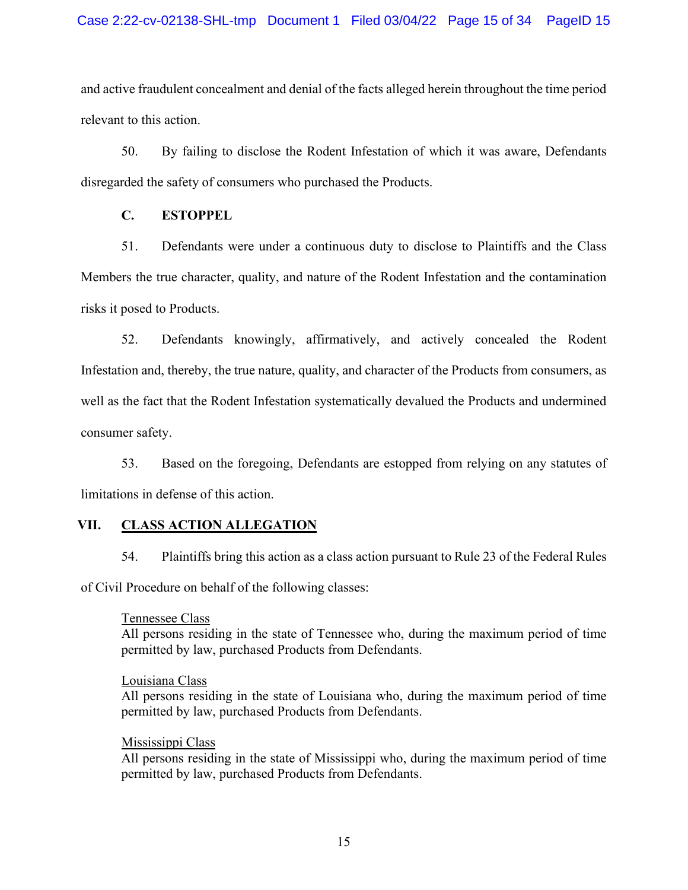and active fraudulent concealment and denial of the facts alleged herein throughout the time period relevant to this action.

50. By failing to disclose the Rodent Infestation of which it was aware, Defendants disregarded the safety of consumers who purchased the Products.

## **C. ESTOPPEL**

51. Defendants were under a continuous duty to disclose to Plaintiffs and the Class Members the true character, quality, and nature of the Rodent Infestation and the contamination risks it posed to Products.

52. Defendants knowingly, affirmatively, and actively concealed the Rodent Infestation and, thereby, the true nature, quality, and character of the Products from consumers, as well as the fact that the Rodent Infestation systematically devalued the Products and undermined consumer safety.

53. Based on the foregoing, Defendants are estopped from relying on any statutes of limitations in defense of this action.

## **VII. CLASS ACTION ALLEGATION**

54. Plaintiffs bring this action as a class action pursuant to Rule 23 of the Federal Rules of Civil Procedure on behalf of the following classes:

## Tennessee Class

All persons residing in the state of Tennessee who, during the maximum period of time permitted by law, purchased Products from Defendants.

## Louisiana Class

All persons residing in the state of Louisiana who, during the maximum period of time permitted by law, purchased Products from Defendants.

## Mississippi Class

All persons residing in the state of Mississippi who, during the maximum period of time permitted by law, purchased Products from Defendants.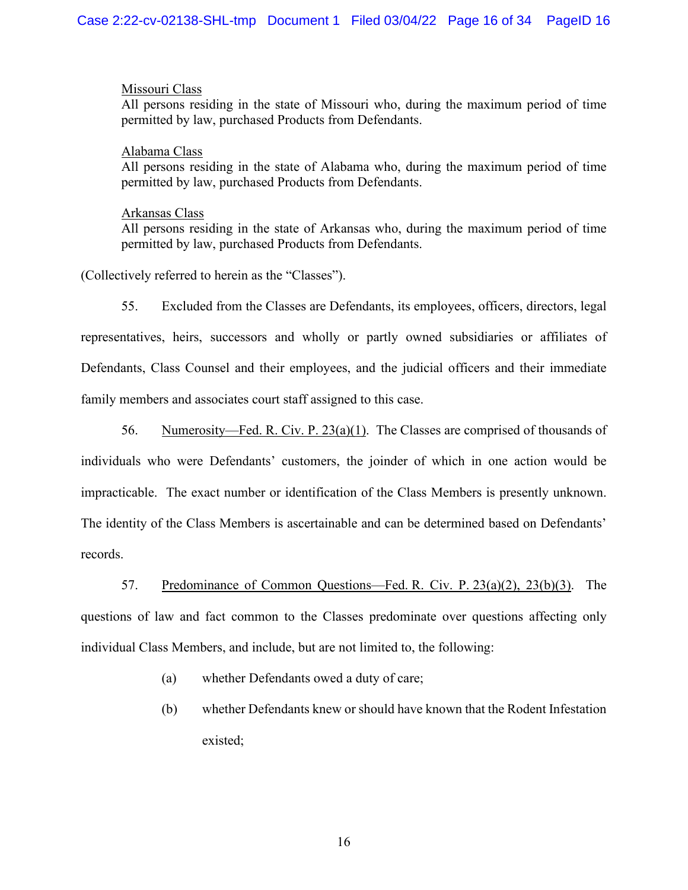### Missouri Class

All persons residing in the state of Missouri who, during the maximum period of time permitted by law, purchased Products from Defendants.

#### Alabama Class

All persons residing in the state of Alabama who, during the maximum period of time permitted by law, purchased Products from Defendants.

### Arkansas Class

All persons residing in the state of Arkansas who, during the maximum period of time permitted by law, purchased Products from Defendants.

(Collectively referred to herein as the "Classes").

55. Excluded from the Classes are Defendants, its employees, officers, directors, legal representatives, heirs, successors and wholly or partly owned subsidiaries or affiliates of Defendants, Class Counsel and their employees, and the judicial officers and their immediate family members and associates court staff assigned to this case.

56. Numerosity—Fed. R. Civ. P. 23(a)(1). The Classes are comprised of thousands of individuals who were Defendants' customers, the joinder of which in one action would be impracticable. The exact number or identification of the Class Members is presently unknown. The identity of the Class Members is ascertainable and can be determined based on Defendants' records.

57. Predominance of Common Questions—Fed. R. Civ. P. 23(a)(2), 23(b)(3). The questions of law and fact common to the Classes predominate over questions affecting only individual Class Members, and include, but are not limited to, the following:

- (a) whether Defendants owed a duty of care;
- (b) whether Defendants knew or should have known that the Rodent Infestation existed;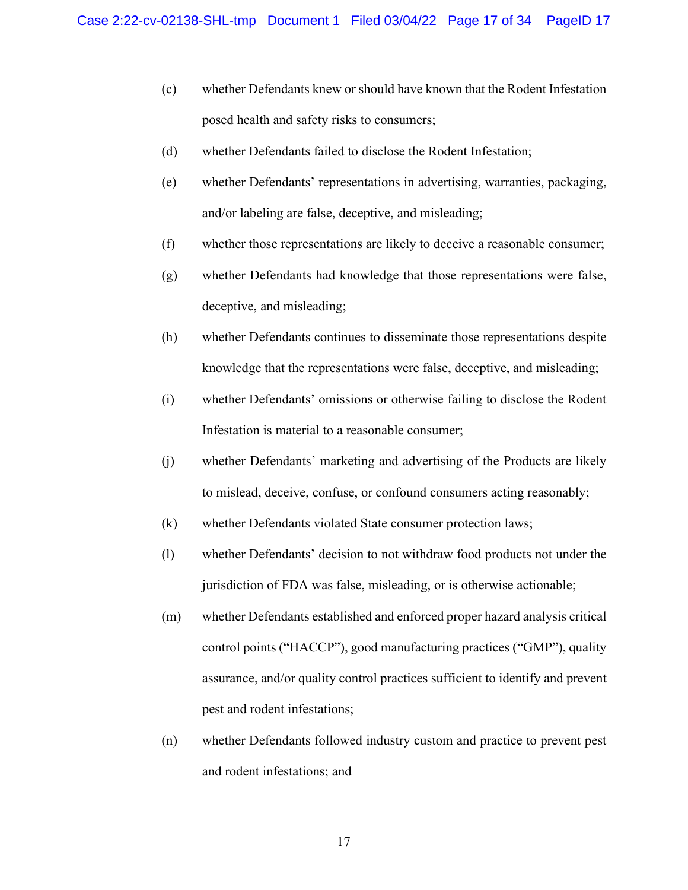- (c) whether Defendants knew or should have known that the Rodent Infestation posed health and safety risks to consumers;
- (d) whether Defendants failed to disclose the Rodent Infestation;
- (e) whether Defendants' representations in advertising, warranties, packaging, and/or labeling are false, deceptive, and misleading;
- (f) whether those representations are likely to deceive a reasonable consumer;
- (g) whether Defendants had knowledge that those representations were false, deceptive, and misleading;
- (h) whether Defendants continues to disseminate those representations despite knowledge that the representations were false, deceptive, and misleading;
- (i) whether Defendants' omissions or otherwise failing to disclose the Rodent Infestation is material to a reasonable consumer;
- (j) whether Defendants' marketing and advertising of the Products are likely to mislead, deceive, confuse, or confound consumers acting reasonably;
- (k) whether Defendants violated State consumer protection laws;
- (l) whether Defendants' decision to not withdraw food products not under the jurisdiction of FDA was false, misleading, or is otherwise actionable;
- (m) whether Defendants established and enforced proper hazard analysis critical control points ("HACCP"), good manufacturing practices ("GMP"), quality assurance, and/or quality control practices sufficient to identify and prevent pest and rodent infestations;
- (n) whether Defendants followed industry custom and practice to prevent pest and rodent infestations; and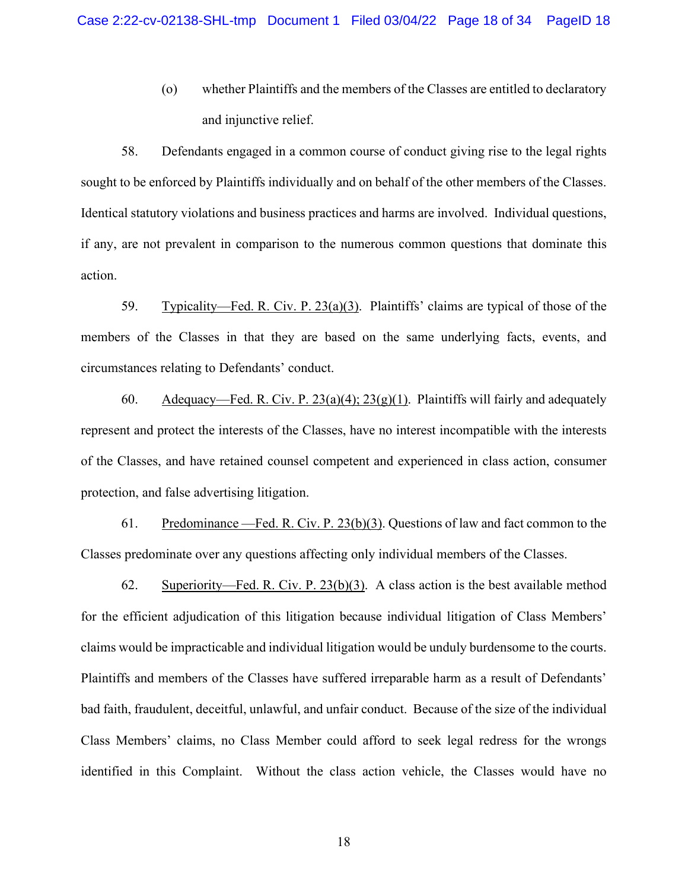(o) whether Plaintiffs and the members of the Classes are entitled to declaratory and injunctive relief.

58. Defendants engaged in a common course of conduct giving rise to the legal rights sought to be enforced by Plaintiffs individually and on behalf of the other members of the Classes. Identical statutory violations and business practices and harms are involved. Individual questions, if any, are not prevalent in comparison to the numerous common questions that dominate this action.

59. Typicality—Fed. R. Civ. P. 23(a)(3). Plaintiffs' claims are typical of those of the members of the Classes in that they are based on the same underlying facts, events, and circumstances relating to Defendants' conduct.

60. Adequacy—Fed. R. Civ. P.  $23(a)(4)$ ;  $23(g)(1)$ . Plaintiffs will fairly and adequately represent and protect the interests of the Classes, have no interest incompatible with the interests of the Classes, and have retained counsel competent and experienced in class action, consumer protection, and false advertising litigation.

61. Predominance —Fed. R. Civ. P. 23(b)(3). Questions of law and fact common to the Classes predominate over any questions affecting only individual members of the Classes.

62. Superiority—Fed. R. Civ. P. 23(b)(3). A class action is the best available method for the efficient adjudication of this litigation because individual litigation of Class Members' claims would be impracticable and individual litigation would be unduly burdensome to the courts. Plaintiffs and members of the Classes have suffered irreparable harm as a result of Defendants' bad faith, fraudulent, deceitful, unlawful, and unfair conduct. Because of the size of the individual Class Members' claims, no Class Member could afford to seek legal redress for the wrongs identified in this Complaint. Without the class action vehicle, the Classes would have no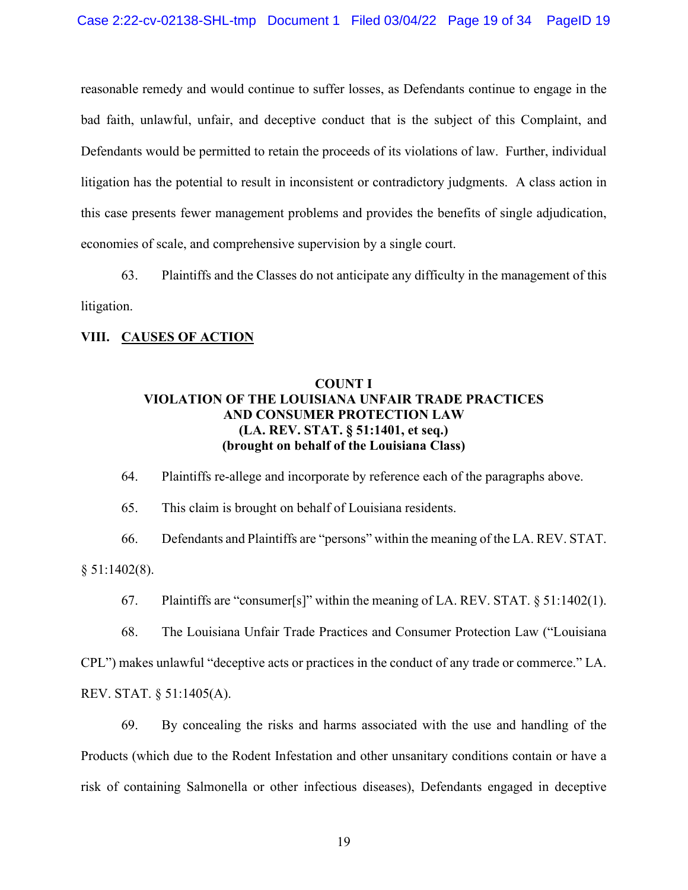reasonable remedy and would continue to suffer losses, as Defendants continue to engage in the bad faith, unlawful, unfair, and deceptive conduct that is the subject of this Complaint, and Defendants would be permitted to retain the proceeds of its violations of law. Further, individual litigation has the potential to result in inconsistent or contradictory judgments. A class action in this case presents fewer management problems and provides the benefits of single adjudication, economies of scale, and comprehensive supervision by a single court.

63. Plaintiffs and the Classes do not anticipate any difficulty in the management of this litigation.

#### **VIII. CAUSES OF ACTION**

## **COUNT I VIOLATION OF THE LOUISIANA UNFAIR TRADE PRACTICES AND CONSUMER PROTECTION LAW (LA. REV. STAT. § 51:1401, et seq.) (brought on behalf of the Louisiana Class)**

64. Plaintiffs re-allege and incorporate by reference each of the paragraphs above.

65. This claim is brought on behalf of Louisiana residents.

66. Defendants and Plaintiffs are "persons" within the meaning of the LA. REV. STAT. § 51:1402(8).

67. Plaintiffs are "consumer[s]" within the meaning of LA. REV. STAT. § 51:1402(1).

68. The Louisiana Unfair Trade Practices and Consumer Protection Law ("Louisiana CPL") makes unlawful "deceptive acts or practices in the conduct of any trade or commerce." LA. REV. STAT. § 51:1405(A).

69. By concealing the risks and harms associated with the use and handling of the Products (which due to the Rodent Infestation and other unsanitary conditions contain or have a risk of containing Salmonella or other infectious diseases), Defendants engaged in deceptive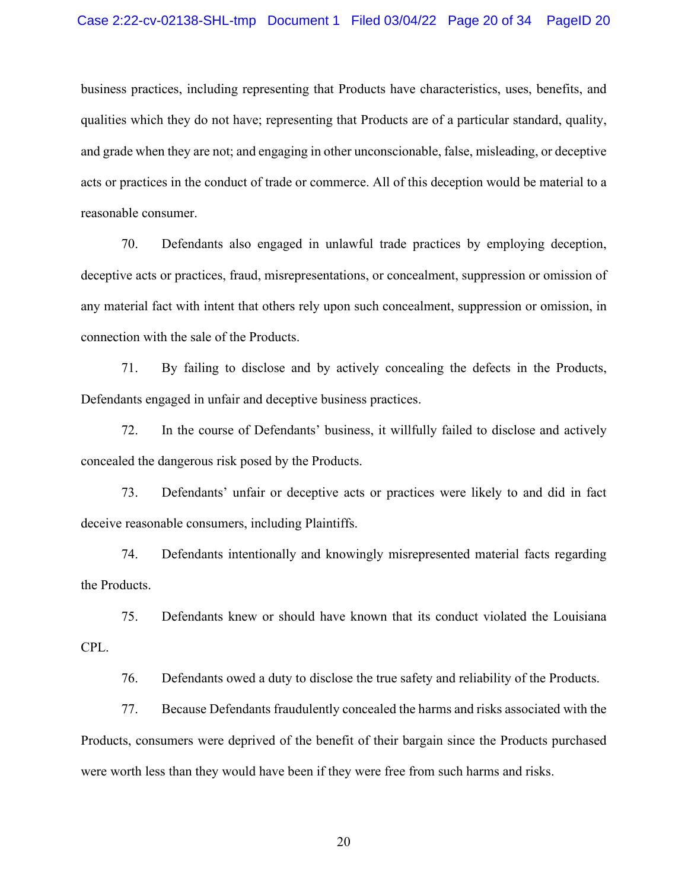business practices, including representing that Products have characteristics, uses, benefits, and qualities which they do not have; representing that Products are of a particular standard, quality, and grade when they are not; and engaging in other unconscionable, false, misleading, or deceptive acts or practices in the conduct of trade or commerce. All of this deception would be material to a reasonable consumer.

70. Defendants also engaged in unlawful trade practices by employing deception, deceptive acts or practices, fraud, misrepresentations, or concealment, suppression or omission of any material fact with intent that others rely upon such concealment, suppression or omission, in connection with the sale of the Products.

71. By failing to disclose and by actively concealing the defects in the Products, Defendants engaged in unfair and deceptive business practices.

72. In the course of Defendants' business, it willfully failed to disclose and actively concealed the dangerous risk posed by the Products.

73. Defendants' unfair or deceptive acts or practices were likely to and did in fact deceive reasonable consumers, including Plaintiffs.

74. Defendants intentionally and knowingly misrepresented material facts regarding the Products.

75. Defendants knew or should have known that its conduct violated the Louisiana CPL.

76. Defendants owed a duty to disclose the true safety and reliability of the Products.

77. Because Defendants fraudulently concealed the harms and risks associated with the Products, consumers were deprived of the benefit of their bargain since the Products purchased were worth less than they would have been if they were free from such harms and risks.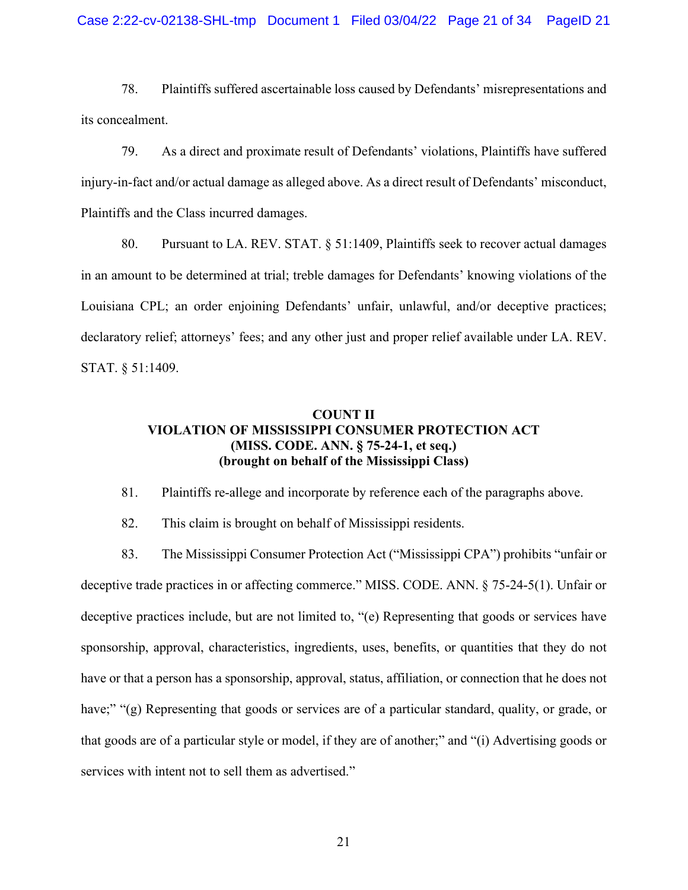78. Plaintiffs suffered ascertainable loss caused by Defendants' misrepresentations and its concealment.

79. As a direct and proximate result of Defendants' violations, Plaintiffs have suffered injury-in-fact and/or actual damage as alleged above. As a direct result of Defendants' misconduct, Plaintiffs and the Class incurred damages.

80. Pursuant to LA. REV. STAT. § 51:1409, Plaintiffs seek to recover actual damages in an amount to be determined at trial; treble damages for Defendants' knowing violations of the Louisiana CPL; an order enjoining Defendants' unfair, unlawful, and/or deceptive practices; declaratory relief; attorneys' fees; and any other just and proper relief available under LA. REV. STAT. § 51:1409.

## **COUNT II VIOLATION OF MISSISSIPPI CONSUMER PROTECTION ACT (MISS. CODE. ANN. § 75-24-1, et seq.) (brought on behalf of the Mississippi Class)**

81. Plaintiffs re-allege and incorporate by reference each of the paragraphs above.

82. This claim is brought on behalf of Mississippi residents.

83. The Mississippi Consumer Protection Act ("Mississippi CPA") prohibits "unfair or deceptive trade practices in or affecting commerce." MISS. CODE. ANN. § 75-24-5(1). Unfair or deceptive practices include, but are not limited to, "(e) Representing that goods or services have sponsorship, approval, characteristics, ingredients, uses, benefits, or quantities that they do not have or that a person has a sponsorship, approval, status, affiliation, or connection that he does not have;" "(g) Representing that goods or services are of a particular standard, quality, or grade, or that goods are of a particular style or model, if they are of another;" and "(i) Advertising goods or services with intent not to sell them as advertised."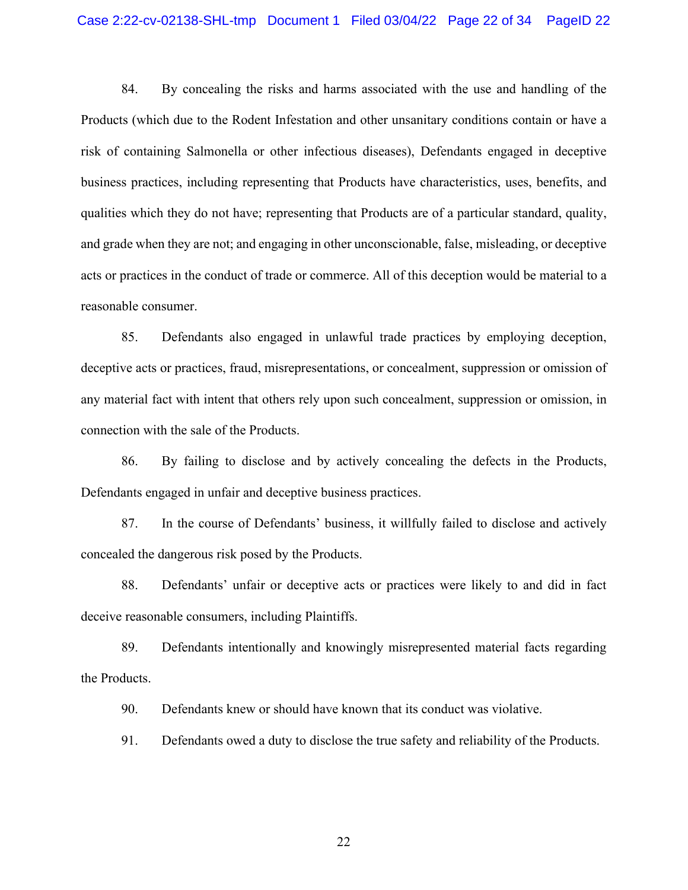84. By concealing the risks and harms associated with the use and handling of the Products (which due to the Rodent Infestation and other unsanitary conditions contain or have a risk of containing Salmonella or other infectious diseases), Defendants engaged in deceptive business practices, including representing that Products have characteristics, uses, benefits, and qualities which they do not have; representing that Products are of a particular standard, quality, and grade when they are not; and engaging in other unconscionable, false, misleading, or deceptive acts or practices in the conduct of trade or commerce. All of this deception would be material to a reasonable consumer.

85. Defendants also engaged in unlawful trade practices by employing deception, deceptive acts or practices, fraud, misrepresentations, or concealment, suppression or omission of any material fact with intent that others rely upon such concealment, suppression or omission, in connection with the sale of the Products.

86. By failing to disclose and by actively concealing the defects in the Products, Defendants engaged in unfair and deceptive business practices.

87. In the course of Defendants' business, it willfully failed to disclose and actively concealed the dangerous risk posed by the Products.

88. Defendants' unfair or deceptive acts or practices were likely to and did in fact deceive reasonable consumers, including Plaintiffs.

89. Defendants intentionally and knowingly misrepresented material facts regarding the Products.

90. Defendants knew or should have known that its conduct was violative.

91. Defendants owed a duty to disclose the true safety and reliability of the Products.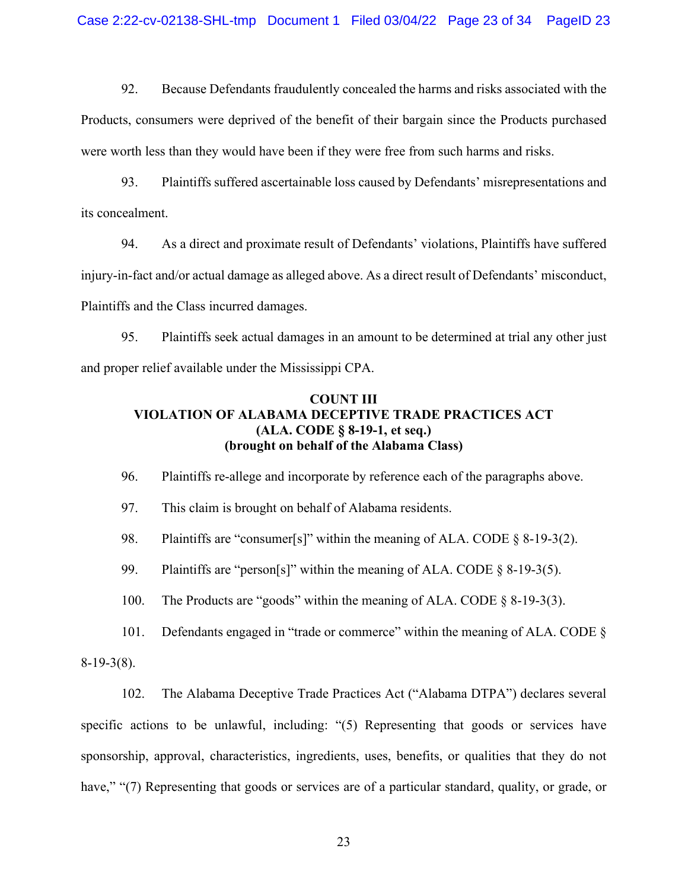92. Because Defendants fraudulently concealed the harms and risks associated with the Products, consumers were deprived of the benefit of their bargain since the Products purchased were worth less than they would have been if they were free from such harms and risks.

93. Plaintiffs suffered ascertainable loss caused by Defendants' misrepresentations and its concealment.

94. As a direct and proximate result of Defendants' violations, Plaintiffs have suffered injury-in-fact and/or actual damage as alleged above. As a direct result of Defendants' misconduct, Plaintiffs and the Class incurred damages.

95. Plaintiffs seek actual damages in an amount to be determined at trial any other just and proper relief available under the Mississippi CPA.

## **COUNT III VIOLATION OF ALABAMA DECEPTIVE TRADE PRACTICES ACT (ALA. CODE § 8-19-1, et seq.) (brought on behalf of the Alabama Class)**

96. Plaintiffs re-allege and incorporate by reference each of the paragraphs above.

97. This claim is brought on behalf of Alabama residents.

98. Plaintiffs are "consumer[s]" within the meaning of ALA. CODE § 8-19-3(2).

99. Plaintiffs are "person[s]" within the meaning of ALA. CODE § 8-19-3(5).

100. The Products are "goods" within the meaning of ALA. CODE § 8-19-3(3).

101. Defendants engaged in "trade or commerce" within the meaning of ALA. CODE §

8-19-3(8).

102. The Alabama Deceptive Trade Practices Act ("Alabama DTPA") declares several specific actions to be unlawful, including: "(5) Representing that goods or services have sponsorship, approval, characteristics, ingredients, uses, benefits, or qualities that they do not have," "(7) Representing that goods or services are of a particular standard, quality, or grade, or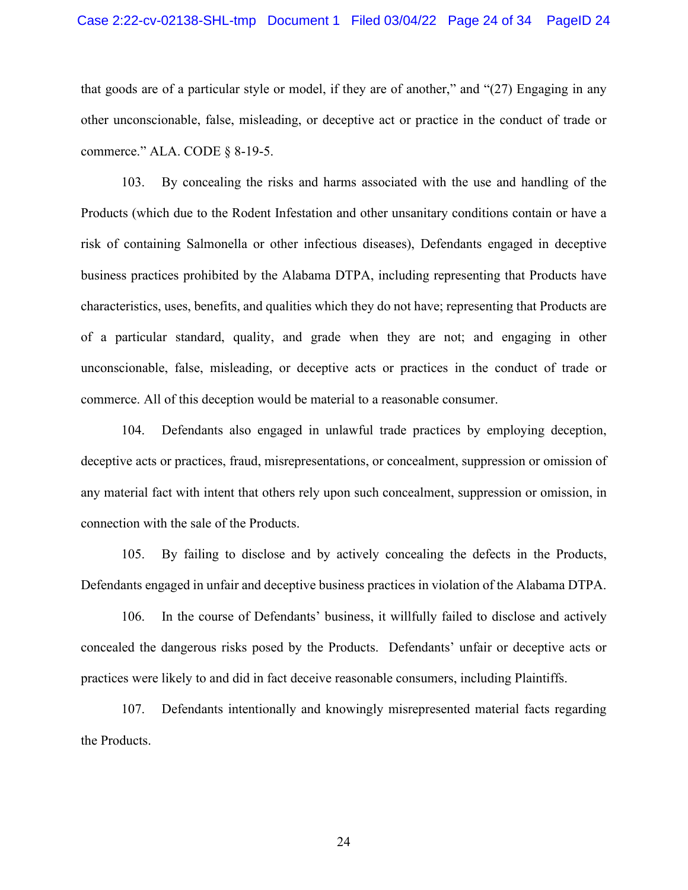that goods are of a particular style or model, if they are of another," and "(27) Engaging in any other unconscionable, false, misleading, or deceptive act or practice in the conduct of trade or commerce." ALA. CODE § 8-19-5.

103. By concealing the risks and harms associated with the use and handling of the Products (which due to the Rodent Infestation and other unsanitary conditions contain or have a risk of containing Salmonella or other infectious diseases), Defendants engaged in deceptive business practices prohibited by the Alabama DTPA, including representing that Products have characteristics, uses, benefits, and qualities which they do not have; representing that Products are of a particular standard, quality, and grade when they are not; and engaging in other unconscionable, false, misleading, or deceptive acts or practices in the conduct of trade or commerce. All of this deception would be material to a reasonable consumer.

104. Defendants also engaged in unlawful trade practices by employing deception, deceptive acts or practices, fraud, misrepresentations, or concealment, suppression or omission of any material fact with intent that others rely upon such concealment, suppression or omission, in connection with the sale of the Products.

105. By failing to disclose and by actively concealing the defects in the Products, Defendants engaged in unfair and deceptive business practices in violation of the Alabama DTPA.

106. In the course of Defendants' business, it willfully failed to disclose and actively concealed the dangerous risks posed by the Products. Defendants' unfair or deceptive acts or practices were likely to and did in fact deceive reasonable consumers, including Plaintiffs.

107. Defendants intentionally and knowingly misrepresented material facts regarding the Products.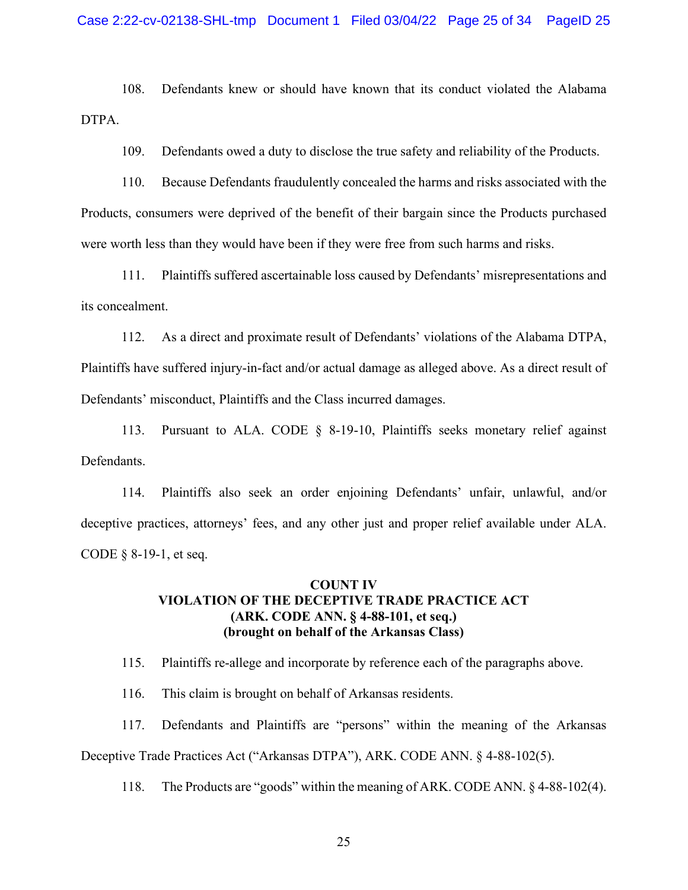108. Defendants knew or should have known that its conduct violated the Alabama DTPA.

109. Defendants owed a duty to disclose the true safety and reliability of the Products.

110. Because Defendants fraudulently concealed the harms and risks associated with the Products, consumers were deprived of the benefit of their bargain since the Products purchased were worth less than they would have been if they were free from such harms and risks.

111. Plaintiffs suffered ascertainable loss caused by Defendants' misrepresentations and its concealment.

112. As a direct and proximate result of Defendants' violations of the Alabama DTPA, Plaintiffs have suffered injury-in-fact and/or actual damage as alleged above. As a direct result of Defendants' misconduct, Plaintiffs and the Class incurred damages.

113. Pursuant to ALA. CODE § 8-19-10, Plaintiffs seeks monetary relief against Defendants.

114. Plaintiffs also seek an order enjoining Defendants' unfair, unlawful, and/or deceptive practices, attorneys' fees, and any other just and proper relief available under ALA. CODE § 8-19-1, et seq.

## **COUNT IV VIOLATION OF THE DECEPTIVE TRADE PRACTICE ACT (ARK. CODE ANN. § 4-88-101, et seq.) (brought on behalf of the Arkansas Class)**

115. Plaintiffs re-allege and incorporate by reference each of the paragraphs above.

116. This claim is brought on behalf of Arkansas residents.

117. Defendants and Plaintiffs are "persons" within the meaning of the Arkansas Deceptive Trade Practices Act ("Arkansas DTPA"), ARK. CODE ANN. § 4-88-102(5).

118. The Products are "goods" within the meaning of ARK. CODE ANN. § 4-88-102(4).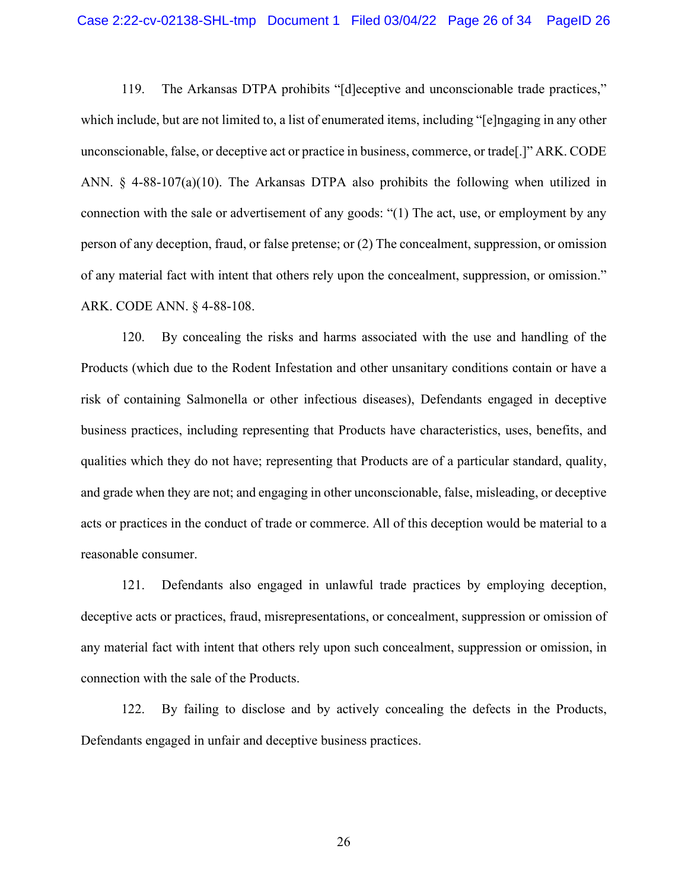119. The Arkansas DTPA prohibits "[d]eceptive and unconscionable trade practices," which include, but are not limited to, a list of enumerated items, including "[e]ngaging in any other unconscionable, false, or deceptive act or practice in business, commerce, or trade[.]" ARK. CODE ANN. § 4-88-107(a)(10). The Arkansas DTPA also prohibits the following when utilized in connection with the sale or advertisement of any goods: "(1) The act, use, or employment by any person of any deception, fraud, or false pretense; or (2) The concealment, suppression, or omission of any material fact with intent that others rely upon the concealment, suppression, or omission." ARK. CODE ANN. § 4-88-108.

120. By concealing the risks and harms associated with the use and handling of the Products (which due to the Rodent Infestation and other unsanitary conditions contain or have a risk of containing Salmonella or other infectious diseases), Defendants engaged in deceptive business practices, including representing that Products have characteristics, uses, benefits, and qualities which they do not have; representing that Products are of a particular standard, quality, and grade when they are not; and engaging in other unconscionable, false, misleading, or deceptive acts or practices in the conduct of trade or commerce. All of this deception would be material to a reasonable consumer.

121. Defendants also engaged in unlawful trade practices by employing deception, deceptive acts or practices, fraud, misrepresentations, or concealment, suppression or omission of any material fact with intent that others rely upon such concealment, suppression or omission, in connection with the sale of the Products.

122. By failing to disclose and by actively concealing the defects in the Products, Defendants engaged in unfair and deceptive business practices.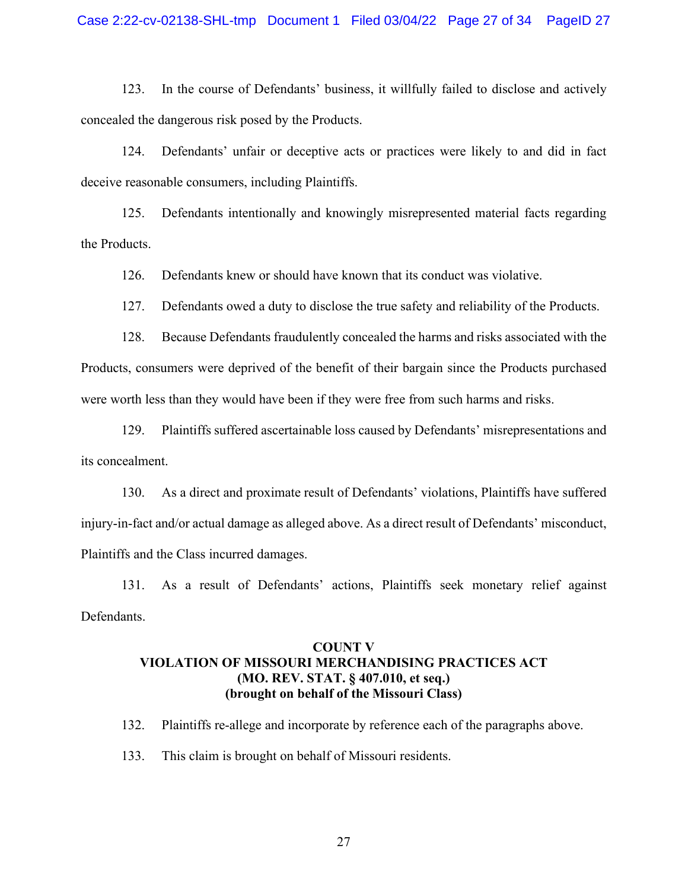123. In the course of Defendants' business, it willfully failed to disclose and actively concealed the dangerous risk posed by the Products.

124. Defendants' unfair or deceptive acts or practices were likely to and did in fact deceive reasonable consumers, including Plaintiffs.

125. Defendants intentionally and knowingly misrepresented material facts regarding the Products.

126. Defendants knew or should have known that its conduct was violative.

127. Defendants owed a duty to disclose the true safety and reliability of the Products.

128. Because Defendants fraudulently concealed the harms and risks associated with the Products, consumers were deprived of the benefit of their bargain since the Products purchased were worth less than they would have been if they were free from such harms and risks.

129. Plaintiffs suffered ascertainable loss caused by Defendants' misrepresentations and its concealment.

130. As a direct and proximate result of Defendants' violations, Plaintiffs have suffered injury-in-fact and/or actual damage as alleged above. As a direct result of Defendants' misconduct, Plaintiffs and the Class incurred damages.

131. As a result of Defendants' actions, Plaintiffs seek monetary relief against Defendants.

## **COUNT V VIOLATION OF MISSOURI MERCHANDISING PRACTICES ACT (MO. REV. STAT. § 407.010, et seq.) (brought on behalf of the Missouri Class)**

132. Plaintiffs re-allege and incorporate by reference each of the paragraphs above.

133. This claim is brought on behalf of Missouri residents.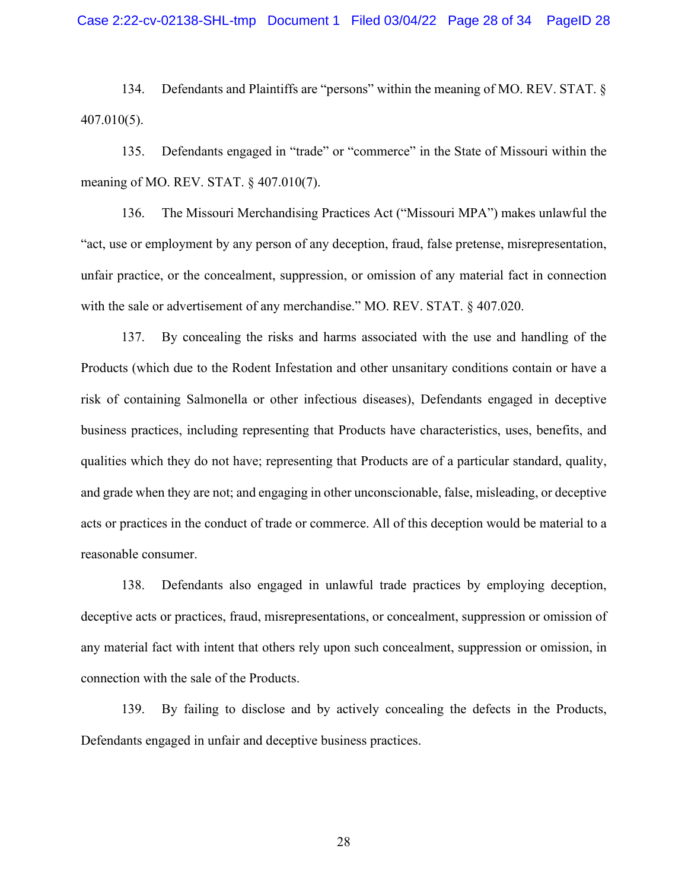134. Defendants and Plaintiffs are "persons" within the meaning of MO. REV. STAT. § 407.010(5).

135. Defendants engaged in "trade" or "commerce" in the State of Missouri within the meaning of MO. REV. STAT. § 407.010(7).

136. The Missouri Merchandising Practices Act ("Missouri MPA") makes unlawful the "act, use or employment by any person of any deception, fraud, false pretense, misrepresentation, unfair practice, or the concealment, suppression, or omission of any material fact in connection with the sale or advertisement of any merchandise." MO. REV. STAT. § 407.020.

137. By concealing the risks and harms associated with the use and handling of the Products (which due to the Rodent Infestation and other unsanitary conditions contain or have a risk of containing Salmonella or other infectious diseases), Defendants engaged in deceptive business practices, including representing that Products have characteristics, uses, benefits, and qualities which they do not have; representing that Products are of a particular standard, quality, and grade when they are not; and engaging in other unconscionable, false, misleading, or deceptive acts or practices in the conduct of trade or commerce. All of this deception would be material to a reasonable consumer.

138. Defendants also engaged in unlawful trade practices by employing deception, deceptive acts or practices, fraud, misrepresentations, or concealment, suppression or omission of any material fact with intent that others rely upon such concealment, suppression or omission, in connection with the sale of the Products.

139. By failing to disclose and by actively concealing the defects in the Products, Defendants engaged in unfair and deceptive business practices.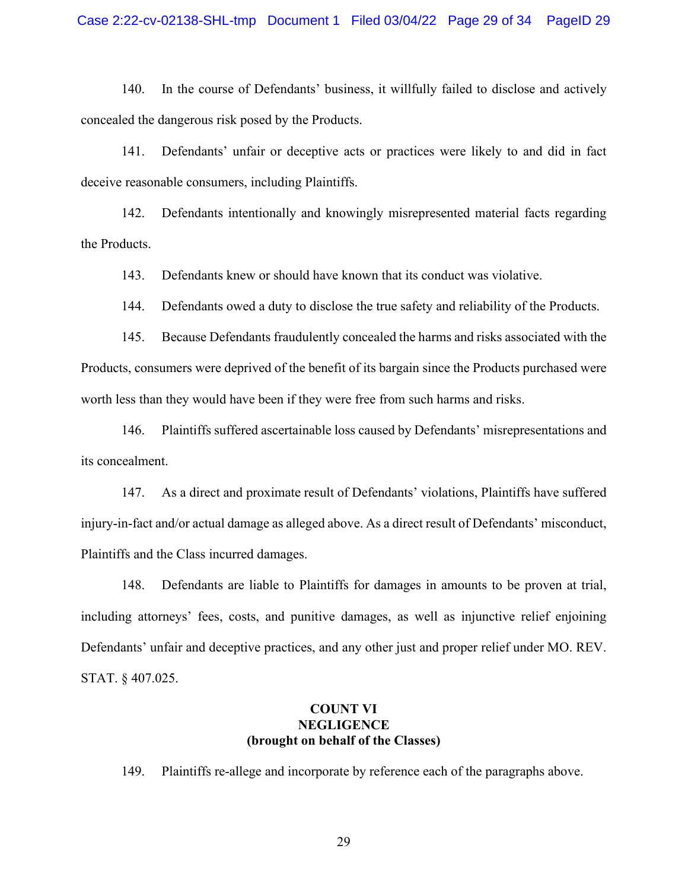140. In the course of Defendants' business, it willfully failed to disclose and actively concealed the dangerous risk posed by the Products.

141. Defendants' unfair or deceptive acts or practices were likely to and did in fact deceive reasonable consumers, including Plaintiffs.

142. Defendants intentionally and knowingly misrepresented material facts regarding the Products.

143. Defendants knew or should have known that its conduct was violative.

144. Defendants owed a duty to disclose the true safety and reliability of the Products.

145. Because Defendants fraudulently concealed the harms and risks associated with the Products, consumers were deprived of the benefit of its bargain since the Products purchased were worth less than they would have been if they were free from such harms and risks.

146. Plaintiffs suffered ascertainable loss caused by Defendants' misrepresentations and its concealment.

147. As a direct and proximate result of Defendants' violations, Plaintiffs have suffered injury-in-fact and/or actual damage as alleged above. As a direct result of Defendants' misconduct, Plaintiffs and the Class incurred damages.

148. Defendants are liable to Plaintiffs for damages in amounts to be proven at trial, including attorneys' fees, costs, and punitive damages, as well as injunctive relief enjoining Defendants' unfair and deceptive practices, and any other just and proper relief under MO. REV. STAT. § 407.025.

### **COUNT VI NEGLIGENCE (brought on behalf of the Classes)**

149. Plaintiffs re-allege and incorporate by reference each of the paragraphs above.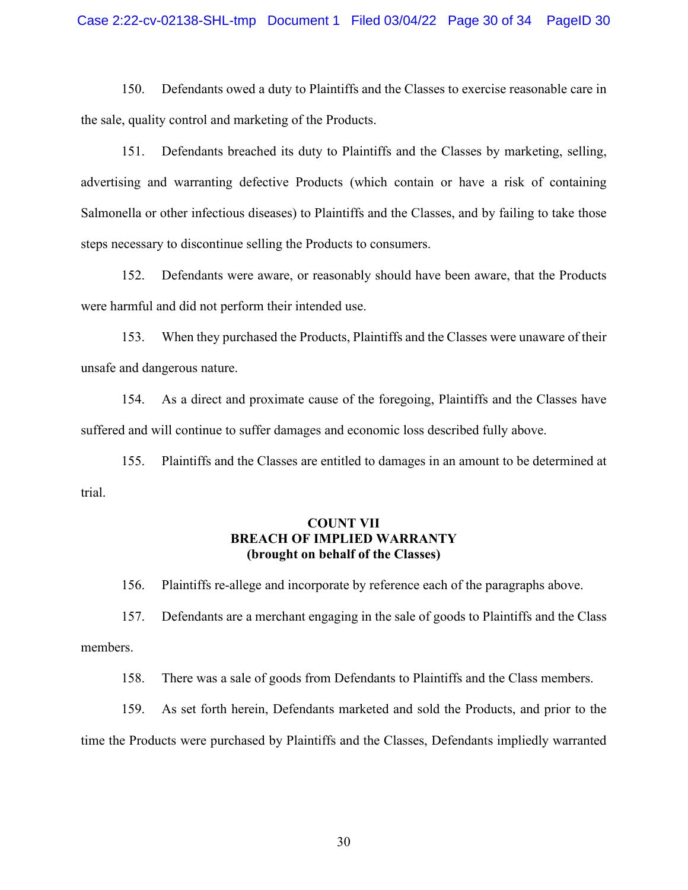#### Case 2:22-cv-02138-SHL-tmp Document 1 Filed 03/04/22 Page 30 of 34 PageID 30

150. Defendants owed a duty to Plaintiffs and the Classes to exercise reasonable care in the sale, quality control and marketing of the Products.

151. Defendants breached its duty to Plaintiffs and the Classes by marketing, selling, advertising and warranting defective Products (which contain or have a risk of containing Salmonella or other infectious diseases) to Plaintiffs and the Classes, and by failing to take those steps necessary to discontinue selling the Products to consumers.

152. Defendants were aware, or reasonably should have been aware, that the Products were harmful and did not perform their intended use.

153. When they purchased the Products, Plaintiffs and the Classes were unaware of their unsafe and dangerous nature.

154. As a direct and proximate cause of the foregoing, Plaintiffs and the Classes have suffered and will continue to suffer damages and economic loss described fully above.

155. Plaintiffs and the Classes are entitled to damages in an amount to be determined at trial.

### **COUNT VII BREACH OF IMPLIED WARRANTY (brought on behalf of the Classes)**

156. Plaintiffs re-allege and incorporate by reference each of the paragraphs above.

157. Defendants are a merchant engaging in the sale of goods to Plaintiffs and the Class members.

158. There was a sale of goods from Defendants to Plaintiffs and the Class members.

159. As set forth herein, Defendants marketed and sold the Products, and prior to the time the Products were purchased by Plaintiffs and the Classes, Defendants impliedly warranted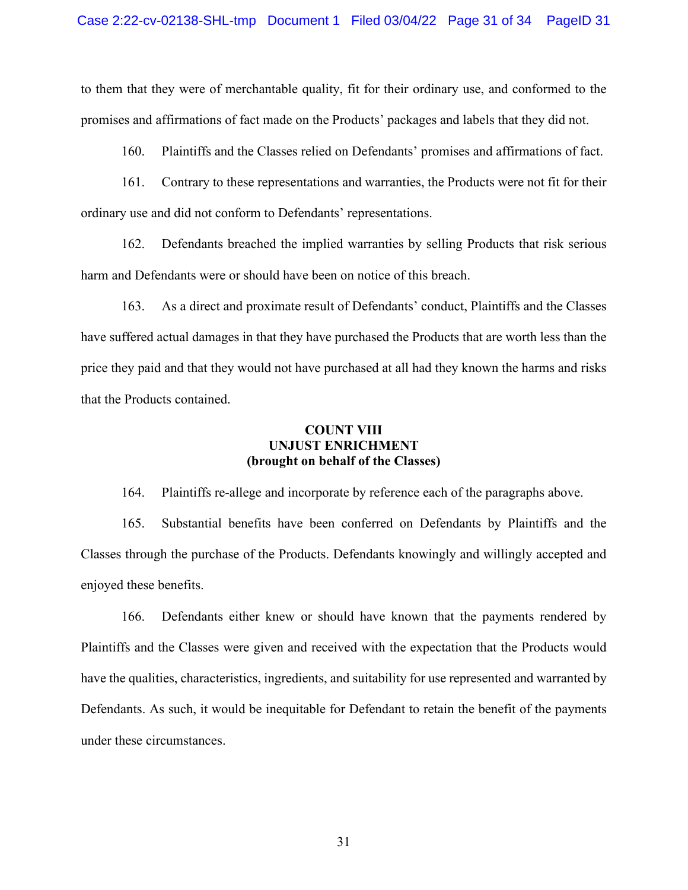to them that they were of merchantable quality, fit for their ordinary use, and conformed to the promises and affirmations of fact made on the Products' packages and labels that they did not.

160. Plaintiffs and the Classes relied on Defendants' promises and affirmations of fact.

161. Contrary to these representations and warranties, the Products were not fit for their ordinary use and did not conform to Defendants' representations.

162. Defendants breached the implied warranties by selling Products that risk serious harm and Defendants were or should have been on notice of this breach.

163. As a direct and proximate result of Defendants' conduct, Plaintiffs and the Classes have suffered actual damages in that they have purchased the Products that are worth less than the price they paid and that they would not have purchased at all had they known the harms and risks that the Products contained.

### **COUNT VIII UNJUST ENRICHMENT (brought on behalf of the Classes)**

164. Plaintiffs re-allege and incorporate by reference each of the paragraphs above.

165. Substantial benefits have been conferred on Defendants by Plaintiffs and the Classes through the purchase of the Products. Defendants knowingly and willingly accepted and enjoyed these benefits.

166. Defendants either knew or should have known that the payments rendered by Plaintiffs and the Classes were given and received with the expectation that the Products would have the qualities, characteristics, ingredients, and suitability for use represented and warranted by Defendants. As such, it would be inequitable for Defendant to retain the benefit of the payments under these circumstances.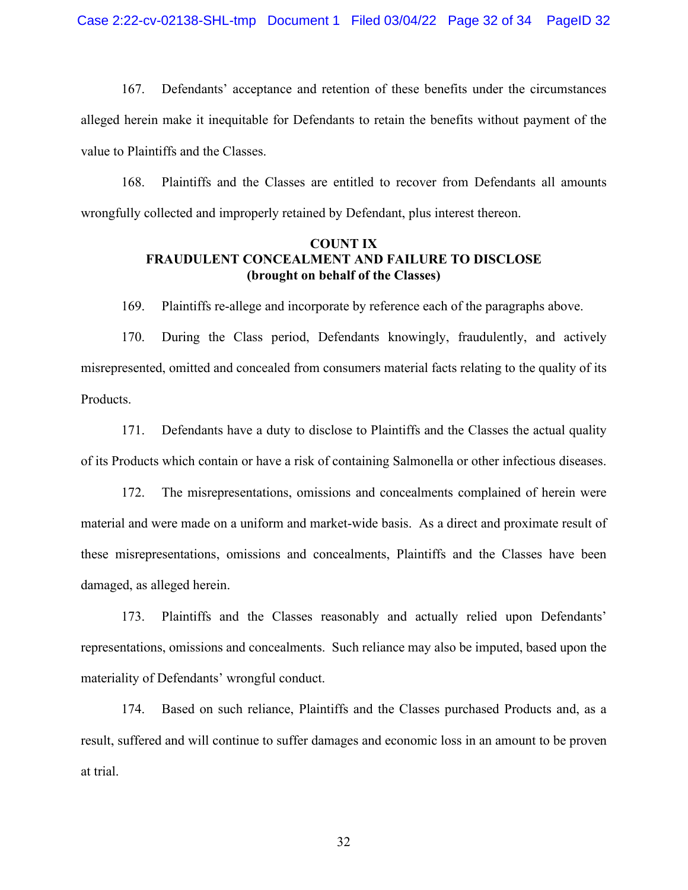167. Defendants' acceptance and retention of these benefits under the circumstances alleged herein make it inequitable for Defendants to retain the benefits without payment of the value to Plaintiffs and the Classes.

168. Plaintiffs and the Classes are entitled to recover from Defendants all amounts wrongfully collected and improperly retained by Defendant, plus interest thereon.

### **COUNT IX FRAUDULENT CONCEALMENT AND FAILURE TO DISCLOSE (brought on behalf of the Classes)**

169. Plaintiffs re-allege and incorporate by reference each of the paragraphs above.

170. During the Class period, Defendants knowingly, fraudulently, and actively misrepresented, omitted and concealed from consumers material facts relating to the quality of its Products.

171. Defendants have a duty to disclose to Plaintiffs and the Classes the actual quality of its Products which contain or have a risk of containing Salmonella or other infectious diseases.

172. The misrepresentations, omissions and concealments complained of herein were material and were made on a uniform and market-wide basis. As a direct and proximate result of these misrepresentations, omissions and concealments, Plaintiffs and the Classes have been damaged, as alleged herein.

173. Plaintiffs and the Classes reasonably and actually relied upon Defendants' representations, omissions and concealments. Such reliance may also be imputed, based upon the materiality of Defendants' wrongful conduct.

174. Based on such reliance, Plaintiffs and the Classes purchased Products and, as a result, suffered and will continue to suffer damages and economic loss in an amount to be proven at trial.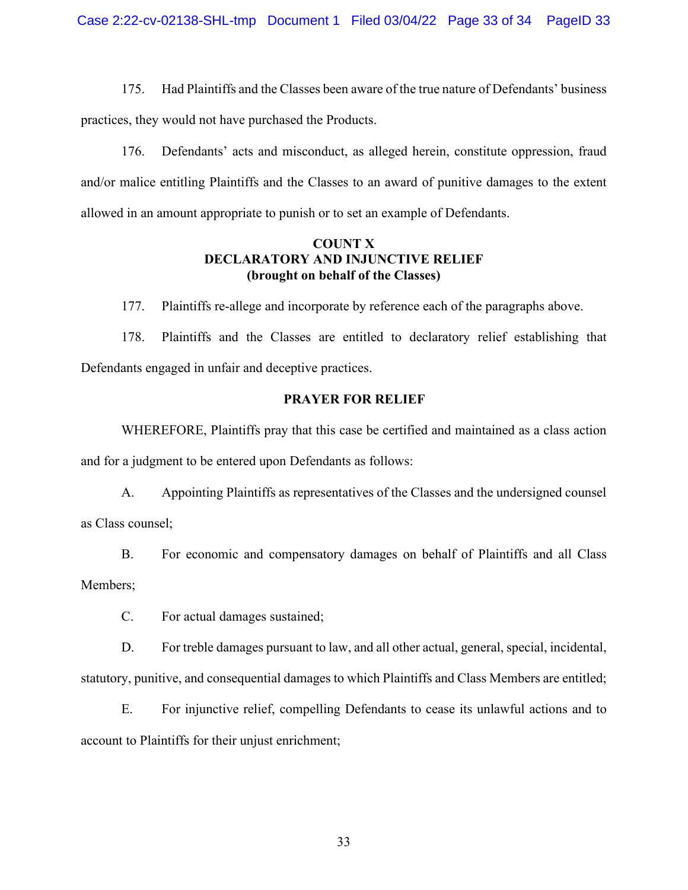175. Had Plaintiffs and the Classes been aware of the true nature of Defendants' business practices, they would not have purchased the Products.

176. Defendants' acts and misconduct, as alleged herein, constitute oppression, fraud and/or malice entitling Plaintiffs and the Classes to an award of punitive damages to the extent allowed in an amount appropriate to punish or to set an example of Defendants.

### **COUNT X DECLARATORY AND INJUNCTIVE RELIEF (brought on behalf of the Classes)**

177. Plaintiffs re-allege and incorporate by reference each of the paragraphs above.

178. Plaintiffs and the Classes are entitled to declaratory relief establishing that Defendants engaged in unfair and deceptive practices.

#### **PRAYER FOR RELIEF**

WHEREFORE, Plaintiffs pray that this case be certified and maintained as a class action and for a judgment to be entered upon Defendants as follows:

A. Appointing Plaintiffs as representatives of the Classes and the undersigned counsel as Class counsel;

B. For economic and compensatory damages on behalf of Plaintiffs and all Class Members;

C. For actual damages sustained;

D. For treble damages pursuant to law, and all other actual, general, special, incidental, statutory, punitive, and consequential damages to which Plaintiffs and Class Members are entitled;

E. For injunctive relief, compelling Defendants to cease its unlawful actions and to account to Plaintiffs for their unjust enrichment;